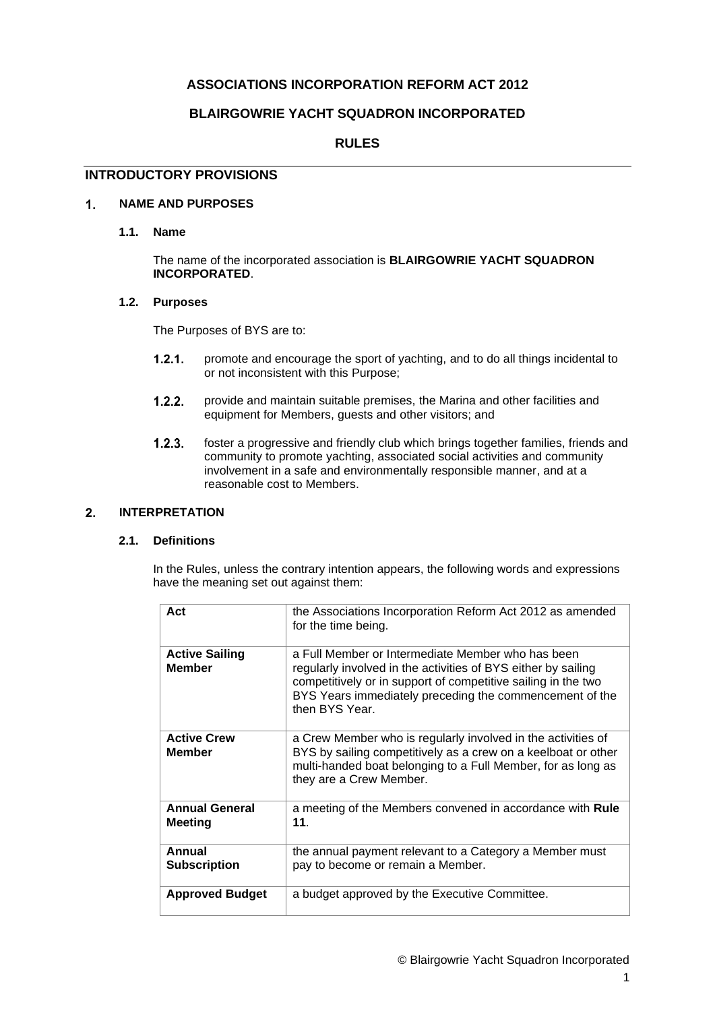# **ASSOCIATIONS INCORPORATION REFORM ACT 2012**

# **BLAIRGOWRIE YACHT SQUADRON INCORPORATED**

# **RULES**

# **INTRODUCTORY PROVISIONS**

#### **NAME AND PURPOSES**  $\overline{1}$ .

**1.1. Name**

The name of the incorporated association is **BLAIRGOWRIE YACHT SQUADRON INCORPORATED**.

# **1.2. Purposes**

The Purposes of BYS are to:

- $1.2.1.$ promote and encourage the sport of yachting, and to do all things incidental to or not inconsistent with this Purpose;
- $1.2.2.$ provide and maintain suitable premises, the Marina and other facilities and equipment for Members, guests and other visitors; and
- $1.2.3.$ foster a progressive and friendly club which brings together families, friends and community to promote yachting, associated social activities and community involvement in a safe and environmentally responsible manner, and at a reasonable cost to Members.

#### <span id="page-0-0"></span> $2.$ **INTERPRETATION**

# **2.1. Definitions**

In the Rules, unless the contrary intention appears, the following words and expressions have the meaning set out against them:

| Act                                    | the Associations Incorporation Reform Act 2012 as amended<br>for the time being.                                                                                                                                                                                 |
|----------------------------------------|------------------------------------------------------------------------------------------------------------------------------------------------------------------------------------------------------------------------------------------------------------------|
| <b>Active Sailing</b><br><b>Member</b> | a Full Member or Intermediate Member who has been<br>regularly involved in the activities of BYS either by sailing<br>competitively or in support of competitive sailing in the two<br>BYS Years immediately preceding the commencement of the<br>then BYS Year. |
| <b>Active Crew</b><br><b>Member</b>    | a Crew Member who is regularly involved in the activities of<br>BYS by sailing competitively as a crew on a keelboat or other<br>multi-handed boat belonging to a Full Member, for as long as<br>they are a Crew Member.                                         |
| <b>Annual General</b><br>Meeting       | a meeting of the Members convened in accordance with Rule<br>11.                                                                                                                                                                                                 |
| Annual<br><b>Subscription</b>          | the annual payment relevant to a Category a Member must<br>pay to become or remain a Member.                                                                                                                                                                     |
| <b>Approved Budget</b>                 | a budget approved by the Executive Committee.                                                                                                                                                                                                                    |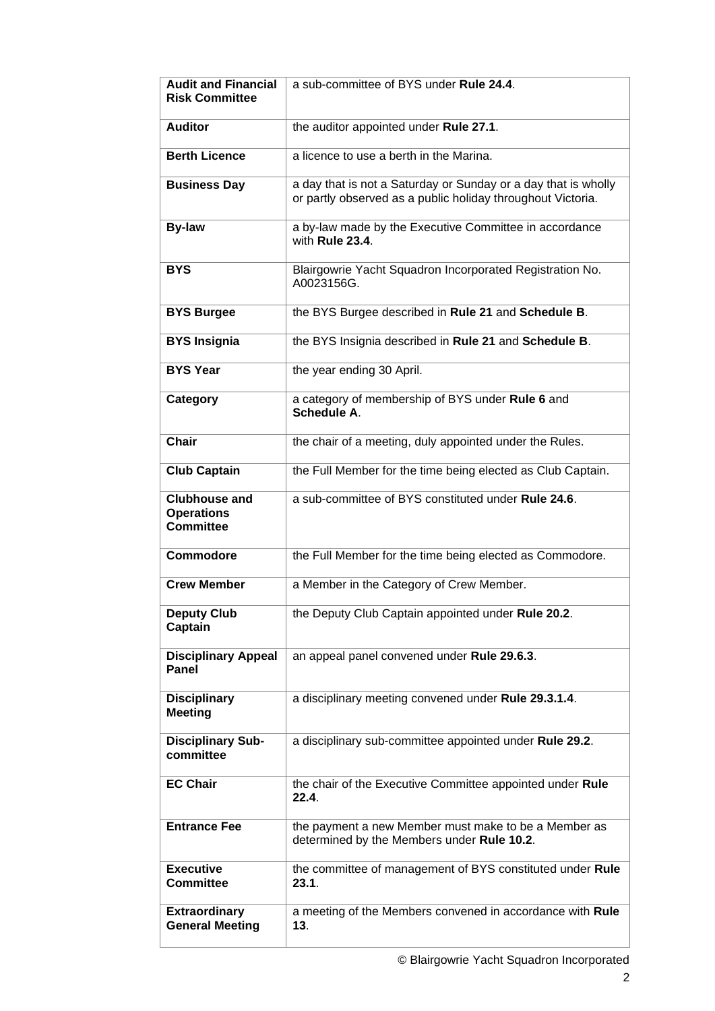| <b>Audit and Financial</b><br><b>Risk Committee</b>           | a sub-committee of BYS under Rule 24.4.                                                                                       |  |  |  |  |  |
|---------------------------------------------------------------|-------------------------------------------------------------------------------------------------------------------------------|--|--|--|--|--|
| <b>Auditor</b>                                                | the auditor appointed under Rule 27.1.                                                                                        |  |  |  |  |  |
| <b>Berth Licence</b>                                          | a licence to use a berth in the Marina.                                                                                       |  |  |  |  |  |
| <b>Business Day</b>                                           | a day that is not a Saturday or Sunday or a day that is wholly<br>or partly observed as a public holiday throughout Victoria. |  |  |  |  |  |
| <b>By-law</b>                                                 | a by-law made by the Executive Committee in accordance<br>with Rule 23.4.                                                     |  |  |  |  |  |
| <b>BYS</b>                                                    | Blairgowrie Yacht Squadron Incorporated Registration No.<br>A0023156G.                                                        |  |  |  |  |  |
| <b>BYS Burgee</b>                                             | the BYS Burgee described in Rule 21 and Schedule B.                                                                           |  |  |  |  |  |
| <b>BYS Insignia</b>                                           | the BYS Insignia described in Rule 21 and Schedule B.                                                                         |  |  |  |  |  |
| <b>BYS Year</b>                                               | the year ending 30 April.                                                                                                     |  |  |  |  |  |
| Category                                                      | a category of membership of BYS under Rule 6 and<br>Schedule A.                                                               |  |  |  |  |  |
| <b>Chair</b>                                                  | the chair of a meeting, duly appointed under the Rules.                                                                       |  |  |  |  |  |
| <b>Club Captain</b>                                           | the Full Member for the time being elected as Club Captain.                                                                   |  |  |  |  |  |
| <b>Clubhouse and</b><br><b>Operations</b><br><b>Committee</b> | a sub-committee of BYS constituted under Rule 24.6.                                                                           |  |  |  |  |  |
| <b>Commodore</b>                                              | the Full Member for the time being elected as Commodore.                                                                      |  |  |  |  |  |
| <b>Crew Member</b>                                            | a Member in the Category of Crew Member.                                                                                      |  |  |  |  |  |
| <b>Deputy Club</b><br>Captain                                 | the Deputy Club Captain appointed under Rule 20.2.                                                                            |  |  |  |  |  |
| <b>Disciplinary Appeal</b><br>Panel                           | an appeal panel convened under Rule 29.6.3.                                                                                   |  |  |  |  |  |
| <b>Disciplinary</b><br><b>Meeting</b>                         | a disciplinary meeting convened under Rule 29.3.1.4.                                                                          |  |  |  |  |  |
| <b>Disciplinary Sub-</b><br>committee                         | a disciplinary sub-committee appointed under Rule 29.2.                                                                       |  |  |  |  |  |
| <b>EC Chair</b>                                               | the chair of the Executive Committee appointed under Rule<br>22.4.                                                            |  |  |  |  |  |
| <b>Entrance Fee</b>                                           | the payment a new Member must make to be a Member as<br>determined by the Members under Rule 10.2.                            |  |  |  |  |  |
| <b>Executive</b><br><b>Committee</b>                          | the committee of management of BYS constituted under Rule<br>23.1.                                                            |  |  |  |  |  |
| <b>Extraordinary</b><br><b>General Meeting</b>                | a meeting of the Members convened in accordance with Rule<br>13.                                                              |  |  |  |  |  |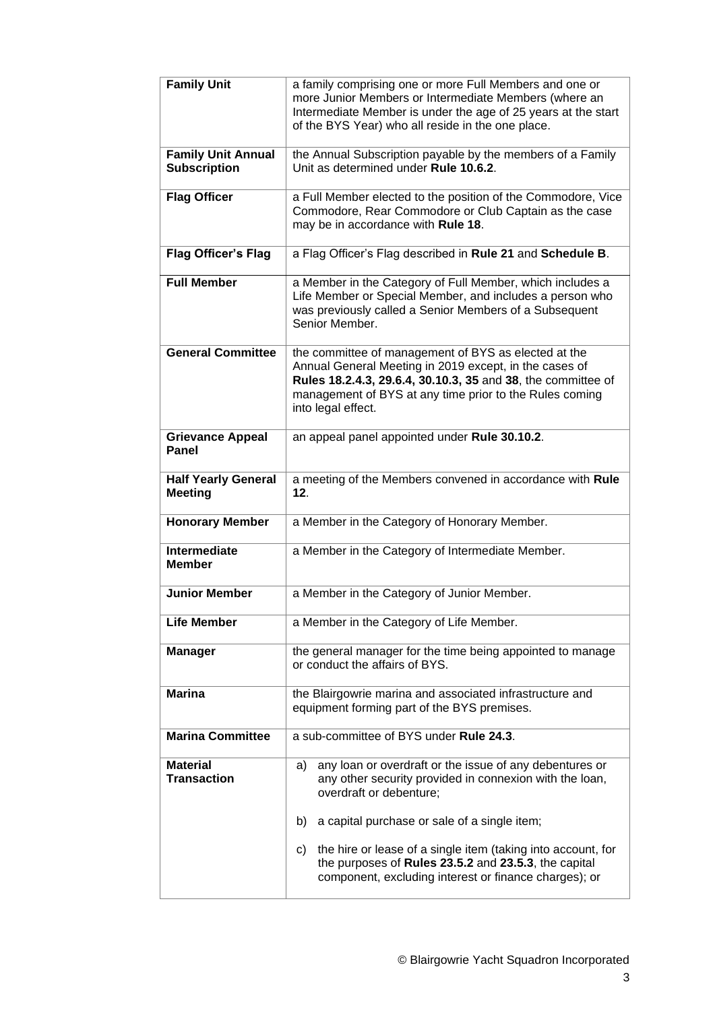| <b>Family Unit</b>                               | a family comprising one or more Full Members and one or<br>more Junior Members or Intermediate Members (where an<br>Intermediate Member is under the age of 25 years at the start<br>of the BYS Year) who all reside in the one place.                          |  |  |  |  |  |  |
|--------------------------------------------------|-----------------------------------------------------------------------------------------------------------------------------------------------------------------------------------------------------------------------------------------------------------------|--|--|--|--|--|--|
| <b>Family Unit Annual</b><br><b>Subscription</b> | the Annual Subscription payable by the members of a Family<br>Unit as determined under Rule 10.6.2.                                                                                                                                                             |  |  |  |  |  |  |
| <b>Flag Officer</b>                              | a Full Member elected to the position of the Commodore, Vice<br>Commodore, Rear Commodore or Club Captain as the case<br>may be in accordance with Rule 18.                                                                                                     |  |  |  |  |  |  |
| <b>Flag Officer's Flag</b>                       | a Flag Officer's Flag described in Rule 21 and Schedule B.                                                                                                                                                                                                      |  |  |  |  |  |  |
| <b>Full Member</b>                               | a Member in the Category of Full Member, which includes a<br>Life Member or Special Member, and includes a person who<br>was previously called a Senior Members of a Subsequent<br>Senior Member.                                                               |  |  |  |  |  |  |
| <b>General Committee</b>                         | the committee of management of BYS as elected at the<br>Annual General Meeting in 2019 except, in the cases of<br>Rules 18.2.4.3, 29.6.4, 30.10.3, 35 and 38, the committee of<br>management of BYS at any time prior to the Rules coming<br>into legal effect. |  |  |  |  |  |  |
| <b>Grievance Appeal</b><br>Panel                 | an appeal panel appointed under Rule 30.10.2.                                                                                                                                                                                                                   |  |  |  |  |  |  |
| <b>Half Yearly General</b><br><b>Meeting</b>     | a meeting of the Members convened in accordance with Rule<br>12.                                                                                                                                                                                                |  |  |  |  |  |  |
| <b>Honorary Member</b>                           | a Member in the Category of Honorary Member.                                                                                                                                                                                                                    |  |  |  |  |  |  |
| <b>Intermediate</b><br><b>Member</b>             | a Member in the Category of Intermediate Member.                                                                                                                                                                                                                |  |  |  |  |  |  |
| <b>Junior Member</b>                             | a Member in the Category of Junior Member.                                                                                                                                                                                                                      |  |  |  |  |  |  |
| <b>Life Member</b>                               | a Member in the Category of Life Member.                                                                                                                                                                                                                        |  |  |  |  |  |  |
| <b>Manager</b>                                   | the general manager for the time being appointed to manage<br>or conduct the affairs of BYS.                                                                                                                                                                    |  |  |  |  |  |  |
| <b>Marina</b>                                    | the Blairgowrie marina and associated infrastructure and<br>equipment forming part of the BYS premises.                                                                                                                                                         |  |  |  |  |  |  |
| <b>Marina Committee</b>                          | a sub-committee of BYS under Rule 24.3.                                                                                                                                                                                                                         |  |  |  |  |  |  |
| <b>Material</b><br><b>Transaction</b>            | any loan or overdraft or the issue of any debentures or<br>a)<br>any other security provided in connexion with the loan,<br>overdraft or debenture;                                                                                                             |  |  |  |  |  |  |
|                                                  | b)<br>a capital purchase or sale of a single item;                                                                                                                                                                                                              |  |  |  |  |  |  |
|                                                  | the hire or lease of a single item (taking into account, for<br>c)<br>the purposes of Rules 23.5.2 and 23.5.3, the capital<br>component, excluding interest or finance charges); or                                                                             |  |  |  |  |  |  |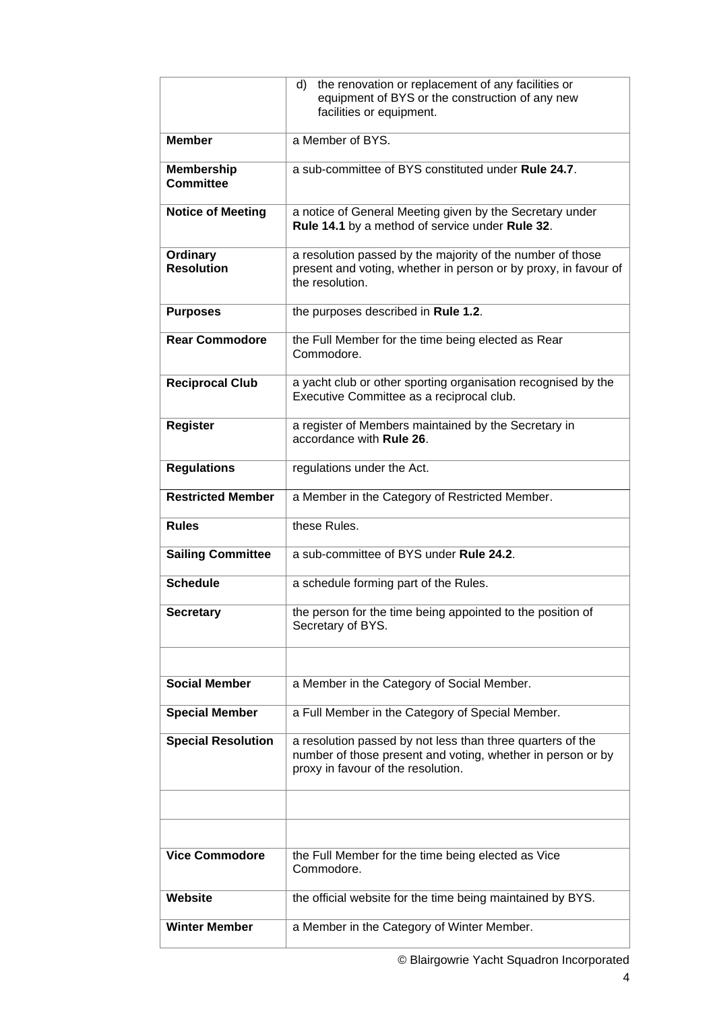|                                       | the renovation or replacement of any facilities or<br>d)<br>equipment of BYS or the construction of any new<br>facilities or equipment.                         |
|---------------------------------------|-----------------------------------------------------------------------------------------------------------------------------------------------------------------|
| <b>Member</b>                         | a Member of BYS.                                                                                                                                                |
| <b>Membership</b><br><b>Committee</b> | a sub-committee of BYS constituted under Rule 24.7.                                                                                                             |
| <b>Notice of Meeting</b>              | a notice of General Meeting given by the Secretary under<br>Rule 14.1 by a method of service under Rule 32.                                                     |
| Ordinary<br><b>Resolution</b>         | a resolution passed by the majority of the number of those<br>present and voting, whether in person or by proxy, in favour of<br>the resolution.                |
| <b>Purposes</b>                       | the purposes described in Rule 1.2.                                                                                                                             |
| <b>Rear Commodore</b>                 | the Full Member for the time being elected as Rear<br>Commodore.                                                                                                |
| <b>Reciprocal Club</b>                | a yacht club or other sporting organisation recognised by the<br>Executive Committee as a reciprocal club.                                                      |
| <b>Register</b>                       | a register of Members maintained by the Secretary in<br>accordance with Rule 26.                                                                                |
| <b>Regulations</b>                    | regulations under the Act.                                                                                                                                      |
| <b>Restricted Member</b>              | a Member in the Category of Restricted Member.                                                                                                                  |
|                                       |                                                                                                                                                                 |
| <b>Rules</b>                          | these Rules.                                                                                                                                                    |
| <b>Sailing Committee</b>              | a sub-committee of BYS under Rule 24.2.                                                                                                                         |
| <b>Schedule</b>                       | a schedule forming part of the Rules.                                                                                                                           |
| <b>Secretary</b>                      | the person for the time being appointed to the position of<br>Secretary of BYS.                                                                                 |
|                                       |                                                                                                                                                                 |
| <b>Social Member</b>                  | a Member in the Category of Social Member.                                                                                                                      |
| <b>Special Member</b>                 | a Full Member in the Category of Special Member.                                                                                                                |
| <b>Special Resolution</b>             | a resolution passed by not less than three quarters of the<br>number of those present and voting, whether in person or by<br>proxy in favour of the resolution. |
|                                       |                                                                                                                                                                 |
|                                       |                                                                                                                                                                 |
| <b>Vice Commodore</b>                 | the Full Member for the time being elected as Vice<br>Commodore.                                                                                                |
| Website                               | the official website for the time being maintained by BYS.                                                                                                      |

© Blairgowrie Yacht Squadron Incorporated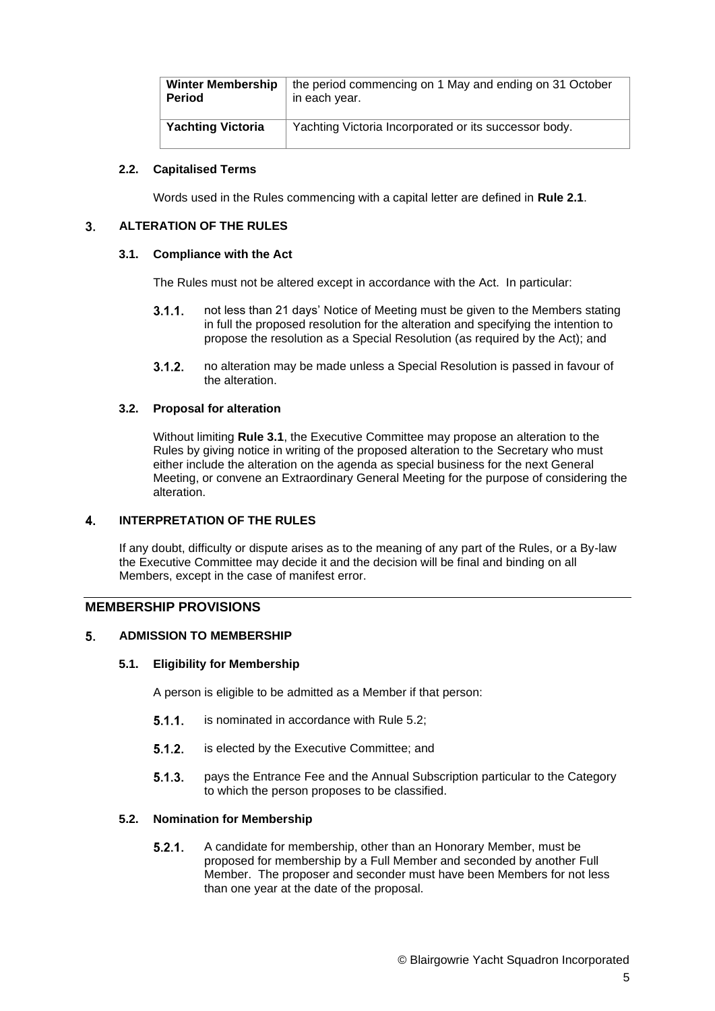| <b>Winter Membership</b> | the period commencing on 1 May and ending on 31 October |
|--------------------------|---------------------------------------------------------|
| Period                   | in each year.                                           |
| <b>Yachting Victoria</b> | Yachting Victoria Incorporated or its successor body.   |

# **2.2. Capitalised Terms**

Words used in the Rules commencing with a capital letter are defined in **Rule [2.1](#page-0-0)**.

#### <span id="page-4-0"></span> $3<sub>1</sub>$ **ALTERATION OF THE RULES**

# **3.1. Compliance with the Act**

The Rules must not be altered except in accordance with the Act. In particular:

- not less than 21 days' Notice of Meeting must be given to the Members stating  $3.1.1.$ in full the proposed resolution for the alteration and specifying the intention to propose the resolution as a Special Resolution (as required by the Act); and
- $3.1.2.$ no alteration may be made unless a Special Resolution is passed in favour of the alteration.

# **3.2. Proposal for alteration**

Without limiting **Rule [3.1](#page-4-0)**, the Executive Committee may propose an alteration to the Rules by giving notice in writing of the proposed alteration to the Secretary who must either include the alteration on the agenda as special business for the next General Meeting, or convene an Extraordinary General Meeting for the purpose of considering the alteration.

#### $\overline{\mathbf{4}}$ **INTERPRETATION OF THE RULES**

If any doubt, difficulty or dispute arises as to the meaning of any part of the Rules, or a By-law the Executive Committee may decide it and the decision will be final and binding on all Members, except in the case of manifest error.

# **MEMBERSHIP PROVISIONS**

#### <span id="page-4-2"></span> $5<sub>1</sub>$ **ADMISSION TO MEMBERSHIP**

### **5.1. Eligibility for Membership**

A person is eligible to be admitted as a Member if that person:

- $5.1.1.$ is nominated in accordance with Rule [5.2;](#page-4-1)
- $5.1.2.$ is elected by the Executive Committee; and
- $5.1.3.$ pays the Entrance Fee and the Annual Subscription particular to the Category to which the person proposes to be classified.

# <span id="page-4-1"></span>**5.2. Nomination for Membership**

 $5.2.1.$ A candidate for membership, other than an Honorary Member, must be proposed for membership by a Full Member and seconded by another Full Member. The proposer and seconder must have been Members for not less than one year at the date of the proposal.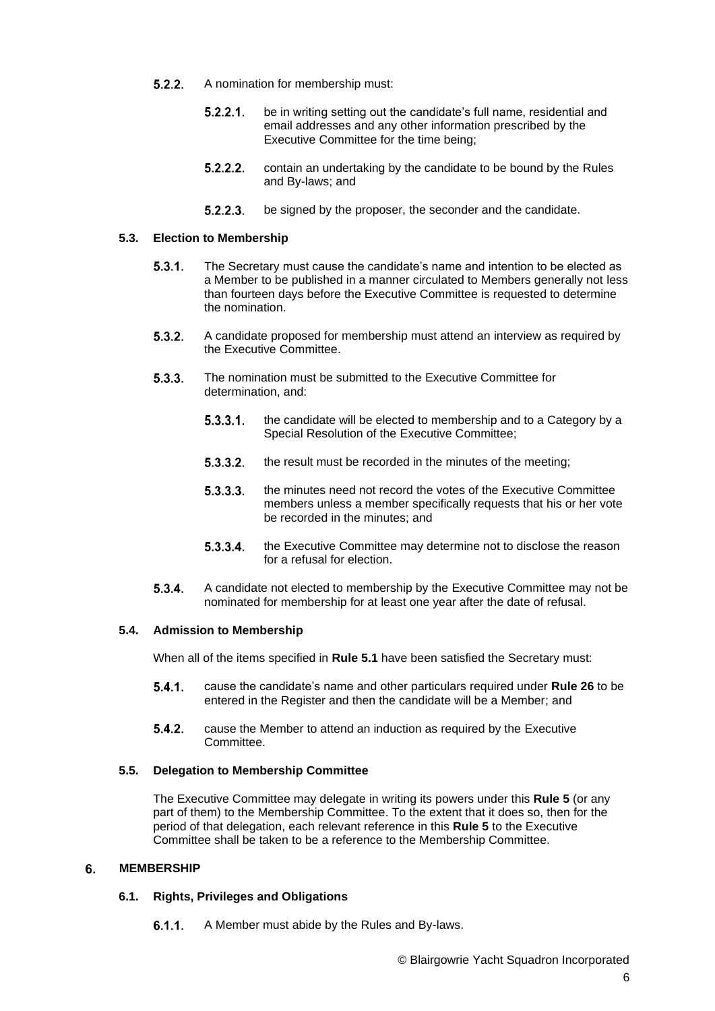- $5.2.2.$ A nomination for membership must:
	- $5.2.2.1$ be in writing setting out the candidate's full name, residential and email addresses and any other information prescribed by the Executive Committee for the time being;
	- $5.2.2.2.$ contain an undertaking by the candidate to be bound by the Rules and By-laws; and
	- $5.2.2.3.$ be signed by the proposer, the seconder and the candidate.

# **5.3. Election to Membership**

- $5.3.1.$ The Secretary must cause the candidate's name and intention to be elected as a Member to be published in a manner circulated to Members generally not less than fourteen days before the Executive Committee is requested to determine the nomination.
- $5.3.2.$ A candidate proposed for membership must attend an interview as required by the Executive Committee.
- $5.3.3.$ The nomination must be submitted to the Executive Committee for determination, and:
	- the candidate will be elected to membership and to a Category by a  $5.3.3.1.$ Special Resolution of the Executive Committee;
	- $5.3.3.2.$ the result must be recorded in the minutes of the meeting;
	- $5.3.3.3.$ the minutes need not record the votes of the Executive Committee members unless a member specifically requests that his or her vote be recorded in the minutes; and
	- $5.3.3.4.$ the Executive Committee may determine not to disclose the reason for a refusal for election.
- $5.3.4.$ A candidate not elected to membership by the Executive Committee may not be nominated for membership for at least one year after the date of refusal.

### **5.4. Admission to Membership**

When all of the items specified in **Rule [5.1](#page-4-2)** have been satisfied the Secretary must:

- $5.4.1.$ cause the candidate's name and other particulars required under **Rule 26** to be entered in the Register and then the candidate will be a Member; and
- $5.4.2.$ cause the Member to attend an induction as required by the Executive Committee.

# **5.5. Delegation to Membership Committee**

The Executive Committee may delegate in writing its powers under this **Rule 5** (or any part of them) to the Membership Committee. To the extent that it does so, then for the period of that delegation, each relevant reference in this **Rule 5** to the Executive Committee shall be taken to be a reference to the Membership Committee.

#### <span id="page-5-0"></span>**MEMBERSHIP** 6.

# **6.1. Rights, Privileges and Obligations**

 $6.1.1.$ A Member must abide by the Rules and By-laws.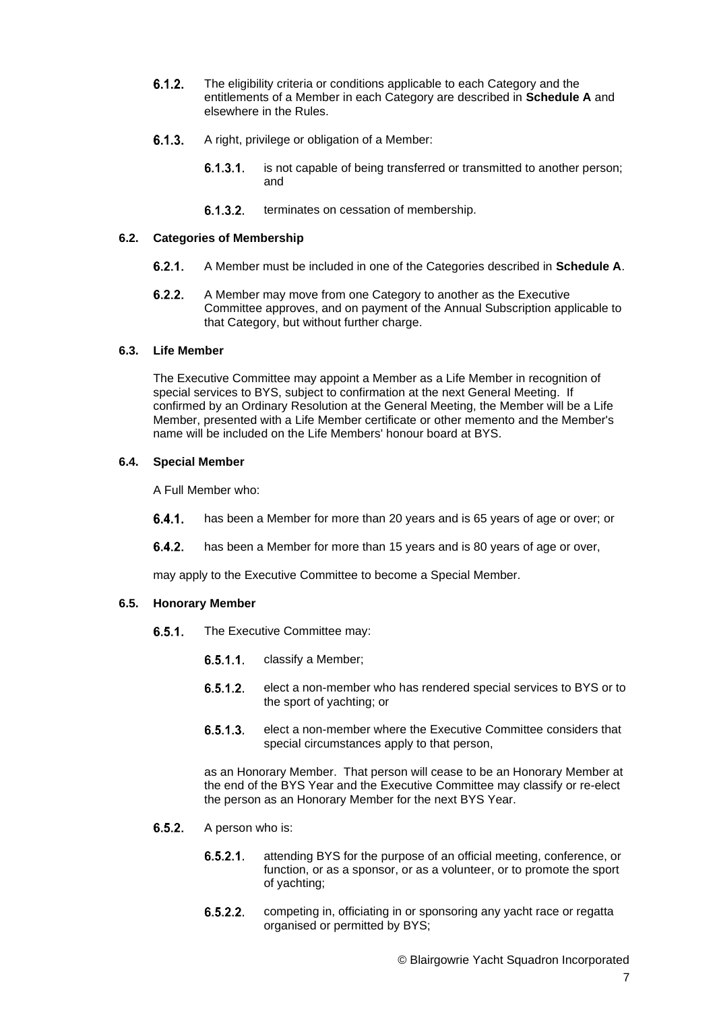- <span id="page-6-0"></span> $6.1.2.$ The eligibility criteria or conditions applicable to each Category and the entitlements of a Member in each Category are described in **Schedule A** and elsewhere in the Rules.
- <span id="page-6-1"></span> $6.1.3.$ A right, privilege or obligation of a Member:
	- $6.1.3.1.$ is not capable of being transferred or transmitted to another person; and
	- $6.1.3.2.$ terminates on cessation of membership.

#### **6.2. Categories of Membership**

- $6.2.1.$ A Member must be included in one of the Categories described in **Schedule A**.
- $6.2.2.$ A Member may move from one Category to another as the Executive Committee approves, and on payment of the Annual Subscription applicable to that Category, but without further charge.

### <span id="page-6-2"></span>**6.3. Life Member**

The Executive Committee may appoint a Member as a Life Member in recognition of special services to BYS, subject to confirmation at the next General Meeting. If confirmed by an Ordinary Resolution at the General Meeting, the Member will be a Life Member, presented with a Life Member certificate or other memento and the Member's name will be included on the Life Members' honour board at BYS.

### **6.4. Special Member**

A Full Member who:

- $6.4.1.$ has been a Member for more than 20 years and is 65 years of age or over; or
- $6.4.2.$ has been a Member for more than 15 years and is 80 years of age or over,

may apply to the Executive Committee to become a Special Member.

#### **6.5. Honorary Member**

- $6.5.1.$ The Executive Committee may:
	- $6.5.1.1$ classify a Member;
	- $6.5.1.2.$ elect a non-member who has rendered special services to BYS or to the sport of yachting; or
	- elect a non-member where the Executive Committee considers that  $6.5.1.3.$ special circumstances apply to that person,

as an Honorary Member. That person will cease to be an Honorary Member at the end of the BYS Year and the Executive Committee may classify or re-elect the person as an Honorary Member for the next BYS Year.

- $6.5.2.$ A person who is:
	- $6.5.2.1.$ attending BYS for the purpose of an official meeting, conference, or function, or as a sponsor, or as a volunteer, or to promote the sport of yachting;
	- $6.5.2.2.$ competing in, officiating in or sponsoring any yacht race or regatta organised or permitted by BYS;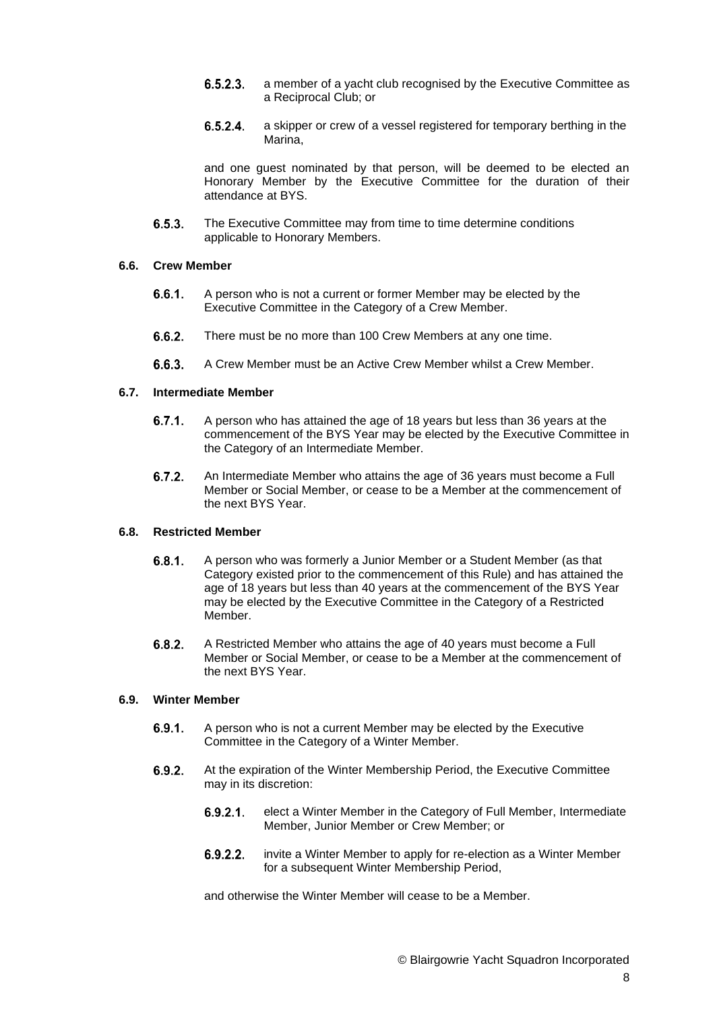- <span id="page-7-1"></span><span id="page-7-0"></span> $6.5.2.3.$ a member of a yacht club recognised by the Executive Committee as a Reciprocal Club; or
- $6.5.2.4.$ a skipper or crew of a vessel registered for temporary berthing in the Marina,

and one guest nominated by that person, will be deemed to be elected an Honorary Member by the Executive Committee for the duration of their attendance at BYS.

 $6.5.3.$ The Executive Committee may from time to time determine conditions applicable to Honorary Members.

# **6.6. Crew Member**

- $6.6.1.$ A person who is not a current or former Member may be elected by the Executive Committee in the Category of a Crew Member.
- $6.6.2.$ There must be no more than 100 Crew Members at any one time.
- 663 A Crew Member must be an Active Crew Member whilst a Crew Member.

# **6.7. Intermediate Member**

- $6.7.1.$ A person who has attained the age of 18 years but less than 36 years at the commencement of the BYS Year may be elected by the Executive Committee in the Category of an Intermediate Member.
- $6.7.2.$ An Intermediate Member who attains the age of 36 years must become a Full Member or Social Member, or cease to be a Member at the commencement of the next BYS Year.

## **6.8. Restricted Member**

- A person who was formerly a Junior Member or a Student Member (as that  $6.8.1.$ Category existed prior to the commencement of this Rule) and has attained the age of 18 years but less than 40 years at the commencement of the BYS Year may be elected by the Executive Committee in the Category of a Restricted Member.
- $6.8.2.$ A Restricted Member who attains the age of 40 years must become a Full Member or Social Member, or cease to be a Member at the commencement of the next BYS Year.

### **6.9. Winter Member**

- $6.9.1.$ A person who is not a current Member may be elected by the Executive Committee in the Category of a Winter Member.
- $6.9.2.$ At the expiration of the Winter Membership Period, the Executive Committee may in its discretion:
	- $6.9.2.1$ elect a Winter Member in the Category of Full Member, Intermediate Member, Junior Member or Crew Member; or
	- $6.9.2.2.$ invite a Winter Member to apply for re-election as a Winter Member for a subsequent Winter Membership Period,

and otherwise the Winter Member will cease to be a Member.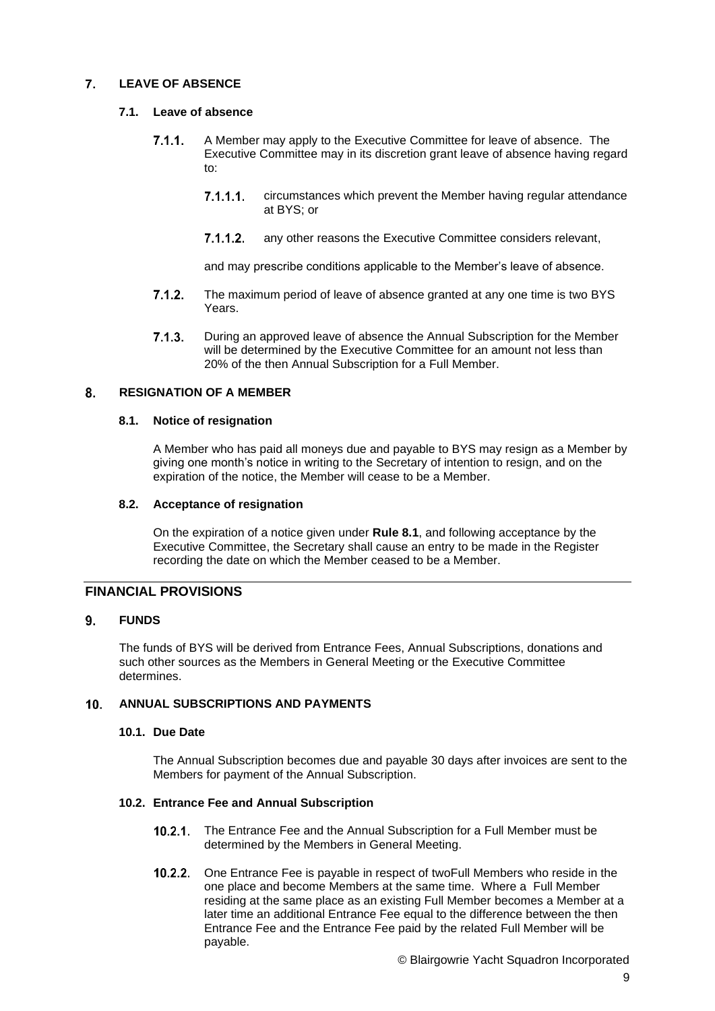#### $\overline{7}$ . **LEAVE OF ABSENCE**

# **7.1. Leave of absence**

- $7.1.1.$ A Member may apply to the Executive Committee for leave of absence. The Executive Committee may in its discretion grant leave of absence having regard to:
	- $7.1.1.1$ circumstances which prevent the Member having regular attendance at BYS; or
	- $7.1.1.2.$ any other reasons the Executive Committee considers relevant,

and may prescribe conditions applicable to the Member's leave of absence.

- $7.1.2.$ The maximum period of leave of absence granted at any one time is two BYS Years.
- $7.1.3.$ During an approved leave of absence the Annual Subscription for the Member will be determined by the Executive Committee for an amount not less than 20% of the then Annual Subscription for a Full Member.

#### <span id="page-8-1"></span>**RESIGNATION OF A MEMBER**  $\mathbf{R}$

### **8.1. Notice of resignation**

A Member who has paid all moneys due and payable to BYS may resign as a Member by giving one month's notice in writing to the Secretary of intention to resign, and on the expiration of the notice, the Member will cease to be a Member.

# <span id="page-8-2"></span>**8.2. Acceptance of resignation**

On the expiration of a notice given under **Rule [8.1](#page-8-1)**, and following acceptance by the Executive Committee, the Secretary shall cause an entry to be made in the Register recording the date on which the Member ceased to be a Member.

# **FINANCIAL PROVISIONS**

#### $9.$ **FUNDS**

The funds of BYS will be derived from Entrance Fees, Annual Subscriptions, donations and such other sources as the Members in General Meeting or the Executive Committee determines.

#### $10.$ **ANNUAL SUBSCRIPTIONS AND PAYMENTS**

# **10.1. Due Date**

The Annual Subscription becomes due and payable 30 days after invoices are sent to the Members for payment of the Annual Subscription.

# <span id="page-8-0"></span>**10.2. Entrance Fee and Annual Subscription**

- 10.2.1. The Entrance Fee and the Annual Subscription for a Full Member must be determined by the Members in General Meeting.
- One Entrance Fee is payable in respect of twoFull Members who reside in the  $10.2.2.$ one place and become Members at the same time. Where a Full Member residing at the same place as an existing Full Member becomes a Member at a later time an additional Entrance Fee equal to the difference between the then Entrance Fee and the Entrance Fee paid by the related Full Member will be payable.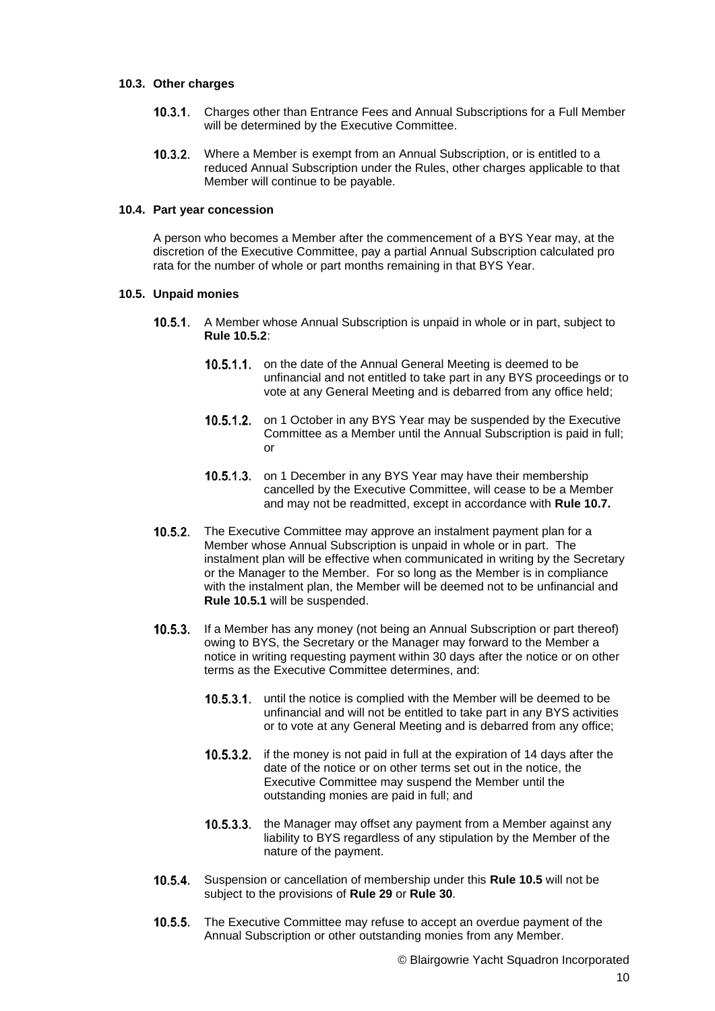## **10.3. Other charges**

- $10.3.1.$ Charges other than Entrance Fees and Annual Subscriptions for a Full Member will be determined by the Executive Committee.
- $10.3.2.$ Where a Member is exempt from an Annual Subscription, or is entitled to a reduced Annual Subscription under the Rules, other charges applicable to that Member will continue to be payable.

### **10.4. Part year concession**

A person who becomes a Member after the commencement of a BYS Year may, at the discretion of the Executive Committee, pay a partial Annual Subscription calculated pro rata for the number of whole or part months remaining in that BYS Year.

# <span id="page-9-0"></span>**10.5. Unpaid monies**

- A Member whose Annual Subscription is unpaid in whole or in part, subject to  $10.5.1.$ **Rule 10.5.2**:
	- 10.5.1.1. on the date of the Annual General Meeting is deemed to be unfinancial and not entitled to take part in any BYS proceedings or to vote at any General Meeting and is debarred from any office held;
	- 10.5.1.2. on 1 October in any BYS Year may be suspended by the Executive Committee as a Member until the Annual Subscription is paid in full; or
	- 10.5.1.3. on 1 December in any BYS Year may have their membership cancelled by the Executive Committee, will cease to be a Member and may not be readmitted, except in accordance with **Rule [10.7.](#page-10-2)**
- The Executive Committee may approve an instalment payment plan for a  $10.5.2.$ Member whose Annual Subscription is unpaid in whole or in part. The instalment plan will be effective when communicated in writing by the Secretary or the Manager to the Member. For so long as the Member is in compliance with the instalment plan, the Member will be deemed not to be unfinancial and **Rule 10.5.1** will be suspended.
- **10.5.3.** If a Member has any money (not being an Annual Subscription or part thereof) owing to BYS, the Secretary or the Manager may forward to the Member a notice in writing requesting payment within 30 days after the notice or on other terms as the Executive Committee determines, and:
	- $10.5.3.1.$ until the notice is complied with the Member will be deemed to be unfinancial and will not be entitled to take part in any BYS activities or to vote at any General Meeting and is debarred from any office;
	- $10.5.3.2.$ if the money is not paid in full at the expiration of 14 days after the date of the notice or on other terms set out in the notice, the Executive Committee may suspend the Member until the outstanding monies are paid in full; and
	- 10.5.3.3. the Manager may offset any payment from a Member against any liability to BYS regardless of any stipulation by the Member of the nature of the payment.
- $10.5.4$ Suspension or cancellation of membership under this **Rule [10.5](#page-9-0)** will not be subject to the provisions of **Rule 29** or **Rule 30**.
- $10.5.5.$ The Executive Committee may refuse to accept an overdue payment of the Annual Subscription or other outstanding monies from any Member.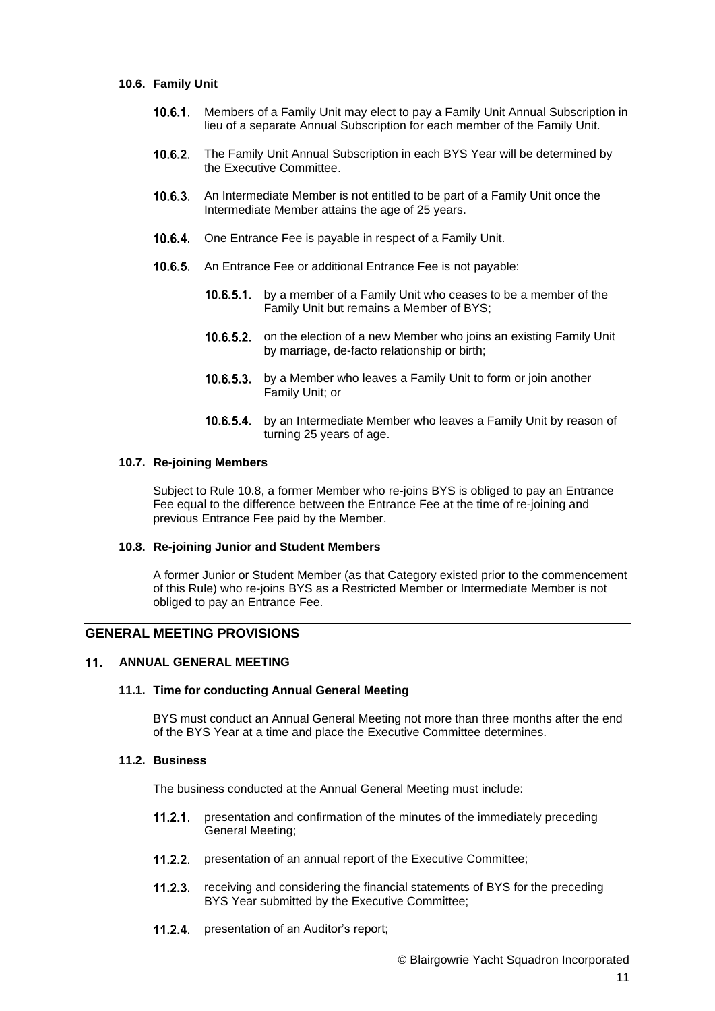### <span id="page-10-3"></span>**10.6. Family Unit**

- $10.6.1.$ Members of a Family Unit may elect to pay a Family Unit Annual Subscription in lieu of a separate Annual Subscription for each member of the Family Unit.
- <span id="page-10-1"></span> $10.6.2.$ The Family Unit Annual Subscription in each BYS Year will be determined by the Executive Committee.
- $10.6.3.$ An Intermediate Member is not entitled to be part of a Family Unit once the Intermediate Member attains the age of 25 years.
- 10.6.4. One Entrance Fee is payable in respect of a Family Unit.
- **10.6.5.** An Entrance Fee or additional Entrance Fee is not payable:
	- 10.6.5.1. by a member of a Family Unit who ceases to be a member of the Family Unit but remains a Member of BYS;
	- 10.6.5.2. on the election of a new Member who joins an existing Family Unit by marriage, de-facto relationship or birth;
	- **10.6.5.3.** by a Member who leaves a Family Unit to form or join another Family Unit; or
	- 10.6.5.4. by an Intermediate Member who leaves a Family Unit by reason of turning 25 years of age.

#### <span id="page-10-2"></span>**10.7. Re-joining Members**

Subject to Rule 10.8, a former Member who re-joins BYS is obliged to pay an Entrance Fee equal to the difference between the Entrance Fee at the time of re-joining and previous Entrance Fee paid by the Member.

### **10.8. Re-joining Junior and Student Members**

A former Junior or Student Member (as that Category existed prior to the commencement of this Rule) who re-joins BYS as a Restricted Member or Intermediate Member is not obliged to pay an Entrance Fee.

# **GENERAL MEETING PROVISIONS**

#### <span id="page-10-0"></span> $11.$ **ANNUAL GENERAL MEETING**

### **11.1. Time for conducting Annual General Meeting**

BYS must conduct an Annual General Meeting not more than three months after the end of the BYS Year at a time and place the Executive Committee determines.

# **11.2. Business**

The business conducted at the Annual General Meeting must include:

- presentation and confirmation of the minutes of the immediately preceding  $11.2.1$ General Meeting;
- 11.2.2. presentation of an annual report of the Executive Committee;
- receiving and considering the financial statements of BYS for the preceding  $11.2.3.$ BYS Year submitted by the Executive Committee;
- $11.2.4$ presentation of an Auditor's report;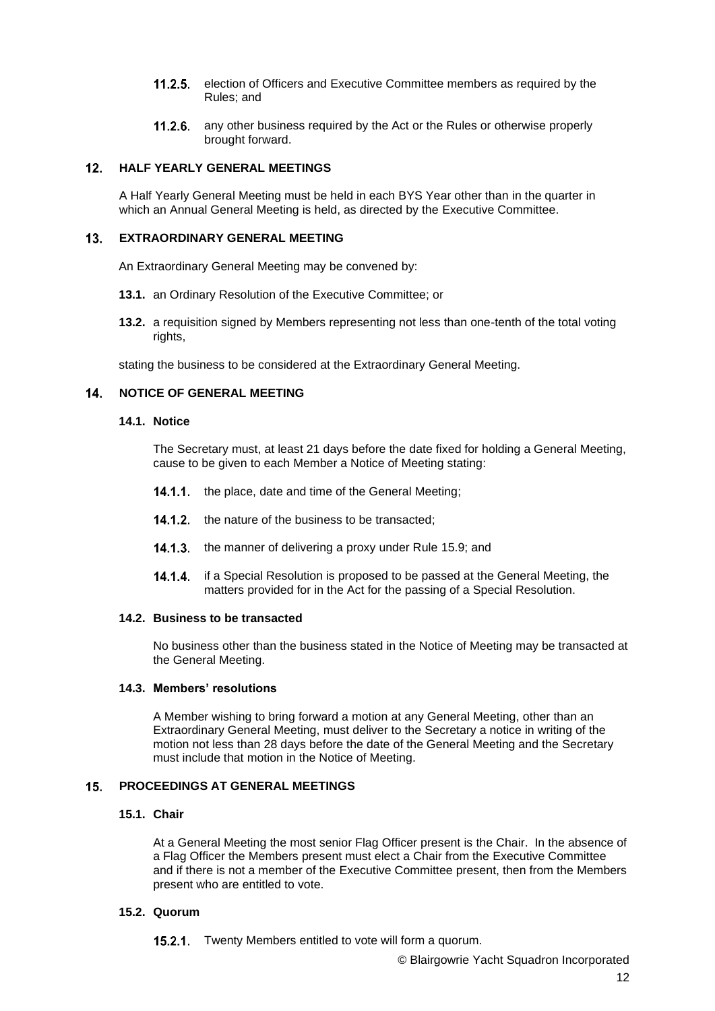- **11.2.5.** election of Officers and Executive Committee members as required by the Rules; and
- 11.2.6. any other business required by the Act or the Rules or otherwise properly brought forward.

#### $12<sub>1</sub>$ **HALF YEARLY GENERAL MEETINGS**

A Half Yearly General Meeting must be held in each BYS Year other than in the quarter in which an Annual General Meeting is held, as directed by the Executive Committee.

#### <span id="page-11-0"></span> $13.$ **EXTRAORDINARY GENERAL MEETING**

An Extraordinary General Meeting may be convened by:

- **13.1.** an Ordinary Resolution of the Executive Committee; or
- <span id="page-11-2"></span>**13.2.** a requisition signed by Members representing not less than one-tenth of the total voting rights.

stating the business to be considered at the Extraordinary General Meeting.

#### <span id="page-11-1"></span> $14.$ **NOTICE OF GENERAL MEETING**

#### **14.1. Notice**

The Secretary must, at least 21 days before the date fixed for holding a General Meeting, cause to be given to each Member a Notice of Meeting stating:

- **14.1.1.** the place, date and time of the General Meeting;
- 14.1.2. the nature of the business to be transacted;
- 14.1.3. the manner of delivering a proxy under Rule [15.9;](#page-13-0) and
- **14.1.4.** if a Special Resolution is proposed to be passed at the General Meeting, the matters provided for in the Act for the passing of a Special Resolution.

### **14.2. Business to be transacted**

No business other than the business stated in the Notice of Meeting may be transacted at the General Meeting.

### **14.3. Members' resolutions**

A Member wishing to bring forward a motion at any General Meeting, other than an Extraordinary General Meeting, must deliver to the Secretary a notice in writing of the motion not less than 28 days before the date of the General Meeting and the Secretary must include that motion in the Notice of Meeting.

#### $15<sub>1</sub>$ **PROCEEDINGS AT GENERAL MEETINGS**

# **15.1. Chair**

At a General Meeting the most senior Flag Officer present is the Chair. In the absence of a Flag Officer the Members present must elect a Chair from the Executive Committee and if there is not a member of the Executive Committee present, then from the Members present who are entitled to vote.

### **15.2. Quorum**

15.2.1. Twenty Members entitled to vote will form a quorum.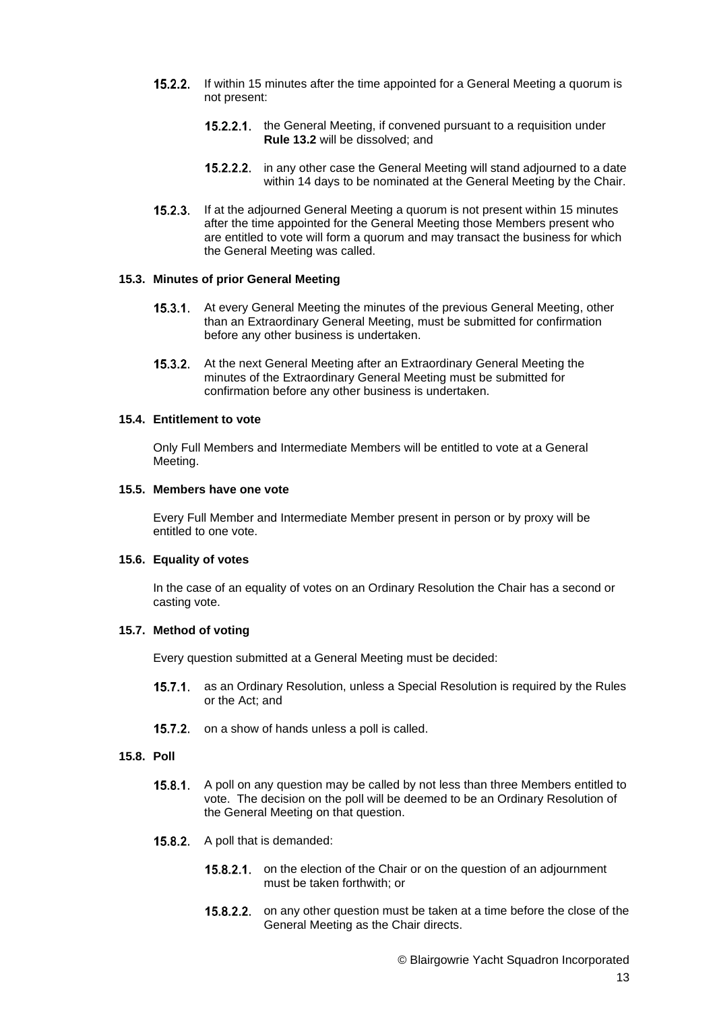- $15.2.2.$ If within 15 minutes after the time appointed for a General Meeting a quorum is not present:
	- 15.2.2.1. the General Meeting, if convened pursuant to a requisition under **Rule [13.2](#page-11-2)** will be dissolved; and
	- $15.2.2.2.$ in any other case the General Meeting will stand adjourned to a date within 14 days to be nominated at the General Meeting by the Chair.
- 15.2.3. If at the adjourned General Meeting a quorum is not present within 15 minutes after the time appointed for the General Meeting those Members present who are entitled to vote will form a quorum and may transact the business for which the General Meeting was called.

### **15.3. Minutes of prior General Meeting**

- 15.3.1. At every General Meeting the minutes of the previous General Meeting, other than an Extraordinary General Meeting, must be submitted for confirmation before any other business is undertaken.
- 15.3.2. At the next General Meeting after an Extraordinary General Meeting the minutes of the Extraordinary General Meeting must be submitted for confirmation before any other business is undertaken.

# <span id="page-12-0"></span>**15.4. Entitlement to vote**

Only Full Members and Intermediate Members will be entitled to vote at a General Meeting.

#### **15.5. Members have one vote**

Every Full Member and Intermediate Member present in person or by proxy will be entitled to one vote.

# **15.6. Equality of votes**

In the case of an equality of votes on an Ordinary Resolution the Chair has a second or casting vote.

### **15.7. Method of voting**

Every question submitted at a General Meeting must be decided:

- 15.7.1. as an Ordinary Resolution, unless a Special Resolution is required by the Rules or the Act; and
- 15.7.2. on a show of hands unless a poll is called.

### **15.8. Poll**

- **15.8.1.** A poll on any question may be called by not less than three Members entitled to vote. The decision on the poll will be deemed to be an Ordinary Resolution of the General Meeting on that question.
- 15.8.2. A poll that is demanded:
	- 15.8.2.1. on the election of the Chair or on the question of an adjournment must be taken forthwith; or
	- 15.8.2.2. on any other question must be taken at a time before the close of the General Meeting as the Chair directs.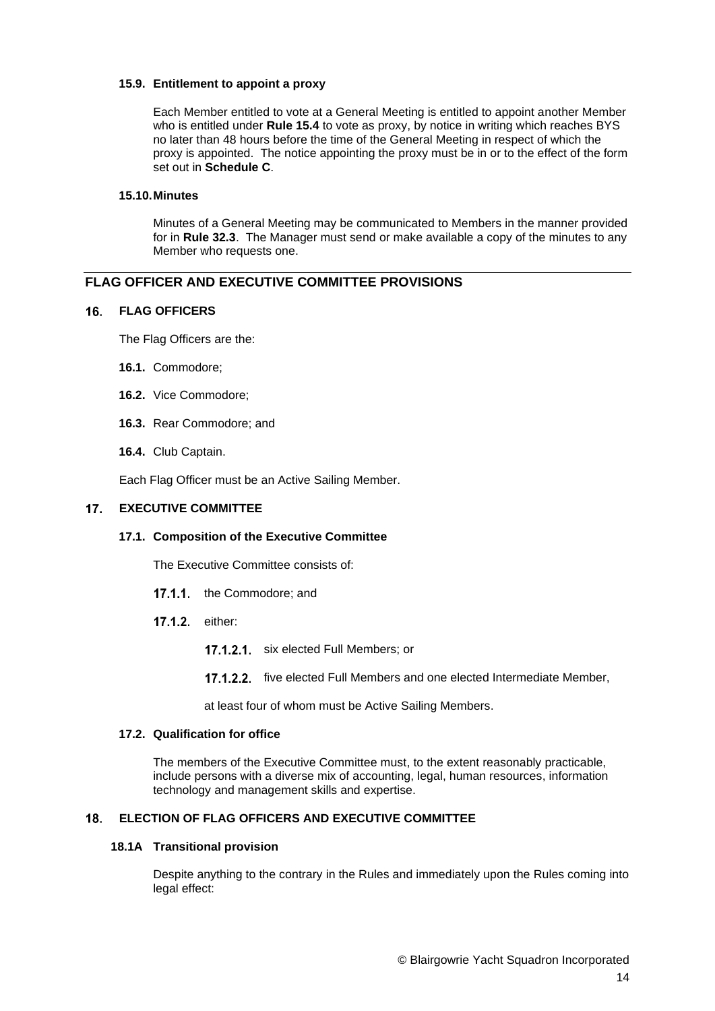## <span id="page-13-0"></span>**15.9. Entitlement to appoint a proxy**

Each Member entitled to vote at a General Meeting is entitled to appoint another Member who is entitled under **Rule [15.4](#page-12-0)** to vote as proxy, by notice in writing which reaches BYS no later than 48 hours before the time of the General Meeting in respect of which the proxy is appointed. The notice appointing the proxy must be in or to the effect of the form set out in **Schedule C**.

# **15.10.Minutes**

Minutes of a General Meeting may be communicated to Members in the manner provided for in **Rule 32.3**. The Manager must send or make available a copy of the minutes to any Member who requests one.

# **FLAG OFFICER AND EXECUTIVE COMMITTEE PROVISIONS**

# **FLAG OFFICERS**

The Flag Officers are the:

- **16.1.** Commodore;
- **16.2.** Vice Commodore;
- **16.3.** Rear Commodore; and
- **16.4.** Club Captain.

Each Flag Officer must be an Active Sailing Member.

#### $17<sub>1</sub>$ **EXECUTIVE COMMITTEE**

# **17.1. Composition of the Executive Committee**

The Executive Committee consists of:

- 17.1.1 the Commodore; and
- 17.1.2. either:
	- 17.1.2.1. six elected Full Members; or
	- 17.1.2.2. five elected Full Members and one elected Intermediate Member,

at least four of whom must be Active Sailing Members.

# **17.2. Qualification for office**

The members of the Executive Committee must, to the extent reasonably practicable, include persons with a diverse mix of accounting, legal, human resources, information technology and management skills and expertise.

# **ELECTION OF FLAG OFFICERS AND EXECUTIVE COMMITTEE**

# **18.1A Transitional provision**

Despite anything to the contrary in the Rules and immediately upon the Rules coming into legal effect: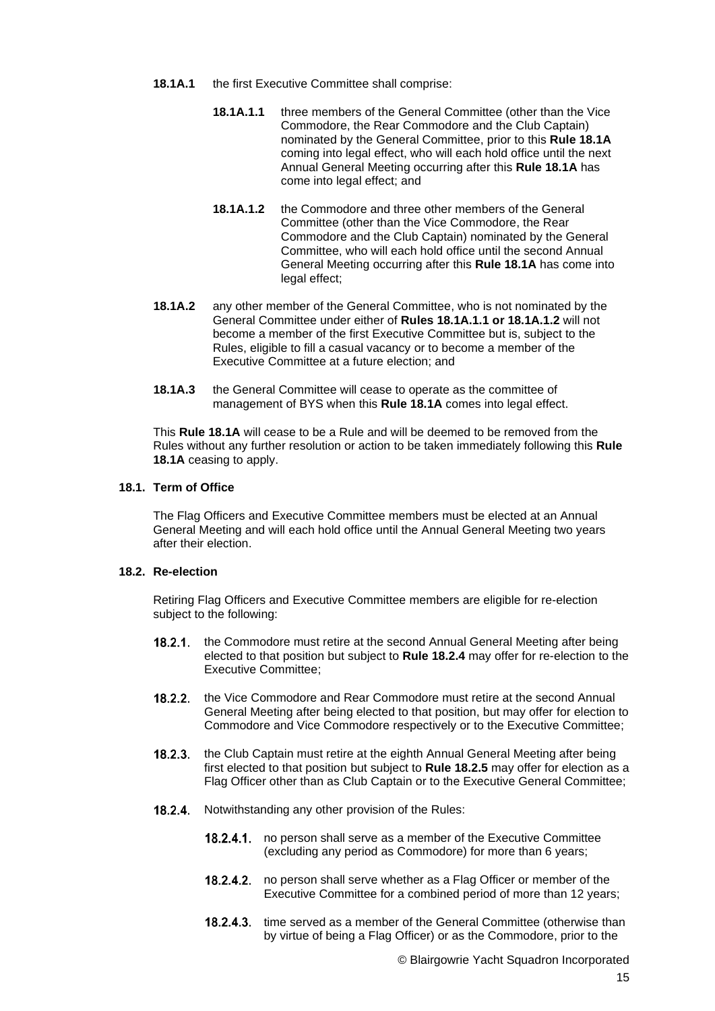- **18.1A.1** the first Executive Committee shall comprise:
	- **18.1A.1.1** three members of the General Committee (other than the Vice Commodore, the Rear Commodore and the Club Captain) nominated by the General Committee, prior to this **Rule 18.1A** coming into legal effect, who will each hold office until the next Annual General Meeting occurring after this **Rule 18.1A** has come into legal effect; and
	- **18.1A.1.2** the Commodore and three other members of the General Committee (other than the Vice Commodore, the Rear Commodore and the Club Captain) nominated by the General Committee, who will each hold office until the second Annual General Meeting occurring after this **Rule 18.1A** has come into legal effect;
- **18.1A.2** any other member of the General Committee, who is not nominated by the General Committee under either of **Rules 18.1A.1.1 or 18.1A.1.2** will not become a member of the first Executive Committee but is, subject to the Rules, eligible to fill a casual vacancy or to become a member of the Executive Committee at a future election; and
- **18.1A.3** the General Committee will cease to operate as the committee of management of BYS when this **Rule 18.1A** comes into legal effect.

This **Rule 18.1A** will cease to be a Rule and will be deemed to be removed from the Rules without any further resolution or action to be taken immediately following this **Rule 18.1A** ceasing to apply.

### **18.1. Term of Office**

The Flag Officers and Executive Committee members must be elected at an Annual General Meeting and will each hold office until the Annual General Meeting two years after their election.

# <span id="page-14-0"></span>**18.2. Re-election**

Retiring Flag Officers and Executive Committee members are eligible for re-election subject to the following:

- the Commodore must retire at the second Annual General Meeting after being  $18.2.1.$ elected to that position but subject to **Rule 18.2.4** may offer for re-election to the Executive Committee;
- $18.2.2.$ the Vice Commodore and Rear Commodore must retire at the second Annual General Meeting after being elected to that position, but may offer for election to Commodore and Vice Commodore respectively or to the Executive Committee;
- $18.2.3.$ the Club Captain must retire at the eighth Annual General Meeting after being first elected to that position but subject to **Rule 18.2.5** may offer for election as a Flag Officer other than as Club Captain or to the Executive General Committee;
- 18.2.4. Notwithstanding any other provision of the Rules:
	- 18.2.4.1. no person shall serve as a member of the Executive Committee (excluding any period as Commodore) for more than 6 years;
	- 18.2.4.2. no person shall serve whether as a Flag Officer or member of the Executive Committee for a combined period of more than 12 years;
	- 18.2.4.3. time served as a member of the General Committee (otherwise than by virtue of being a Flag Officer) or as the Commodore, prior to the

© Blairgowrie Yacht Squadron Incorporated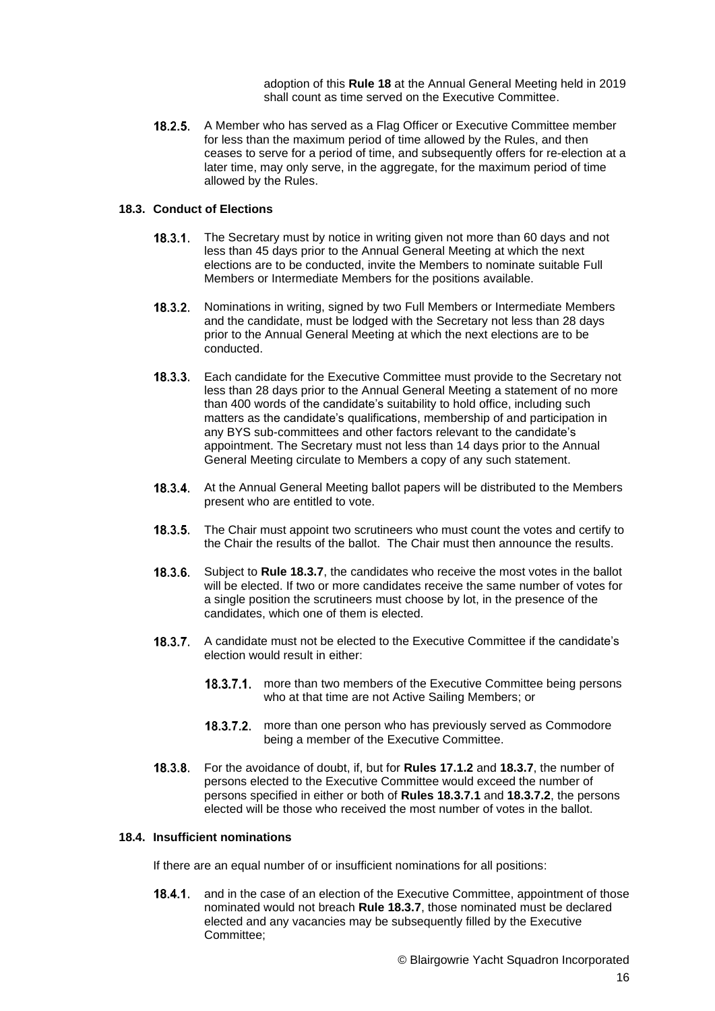adoption of this **Rule 18** at the Annual General Meeting held in 2019 shall count as time served on the Executive Committee.

18.2.5. A Member who has served as a Flag Officer or Executive Committee member for less than the maximum period of time allowed by the Rules, and then ceases to serve for a period of time, and subsequently offers for re-election at a later time, may only serve, in the aggregate, for the maximum period of time allowed by the Rules.

### **18.3. Conduct of Elections**

- 18.3.1. The Secretary must by notice in writing given not more than 60 days and not less than 45 days prior to the Annual General Meeting at which the next elections are to be conducted, invite the Members to nominate suitable Full Members or Intermediate Members for the positions available.
- 18.3.2. Nominations in writing, signed by two Full Members or Intermediate Members and the candidate, must be lodged with the Secretary not less than 28 days prior to the Annual General Meeting at which the next elections are to be conducted.
- $18.3.3.$ Each candidate for the Executive Committee must provide to the Secretary not less than 28 days prior to the Annual General Meeting a statement of no more than 400 words of the candidate's suitability to hold office, including such matters as the candidate's qualifications, membership of and participation in any BYS sub-committees and other factors relevant to the candidate's appointment. The Secretary must not less than 14 days prior to the Annual General Meeting circulate to Members a copy of any such statement.
- **18.3.4.** At the Annual General Meeting ballot papers will be distributed to the Members present who are entitled to vote.
- **18.3.5.** The Chair must appoint two scrutineers who must count the votes and certify to the Chair the results of the ballot. The Chair must then announce the results.
- **18.3.6.** Subject to Rule 18.3.7, the candidates who receive the most votes in the ballot will be elected. If two or more candidates receive the same number of votes for a single position the scrutineers must choose by lot, in the presence of the candidates, which one of them is elected.
- A candidate must not be elected to the Executive Committee if the candidate's election would result in either:
	- **18.3.7.1.** more than two members of the Executive Committee being persons who at that time are not Active Sailing Members; or
	- 18.3.7.2. more than one person who has previously served as Commodore being a member of the Executive Committee.
- For the avoidance of doubt, if, but for **Rules 17.1.2** and **18.3.7**, the number of persons elected to the Executive Committee would exceed the number of persons specified in either or both of **Rules 18.3.7.1** and **18.3.7.2**, the persons elected will be those who received the most number of votes in the ballot.

# **18.4. Insufficient nominations**

If there are an equal number of or insufficient nominations for all positions:

**18.4.1.** and in the case of an election of the Executive Committee, appointment of those nominated would not breach **Rule 18.3.7**, those nominated must be declared elected and any vacancies may be subsequently filled by the Executive Committee;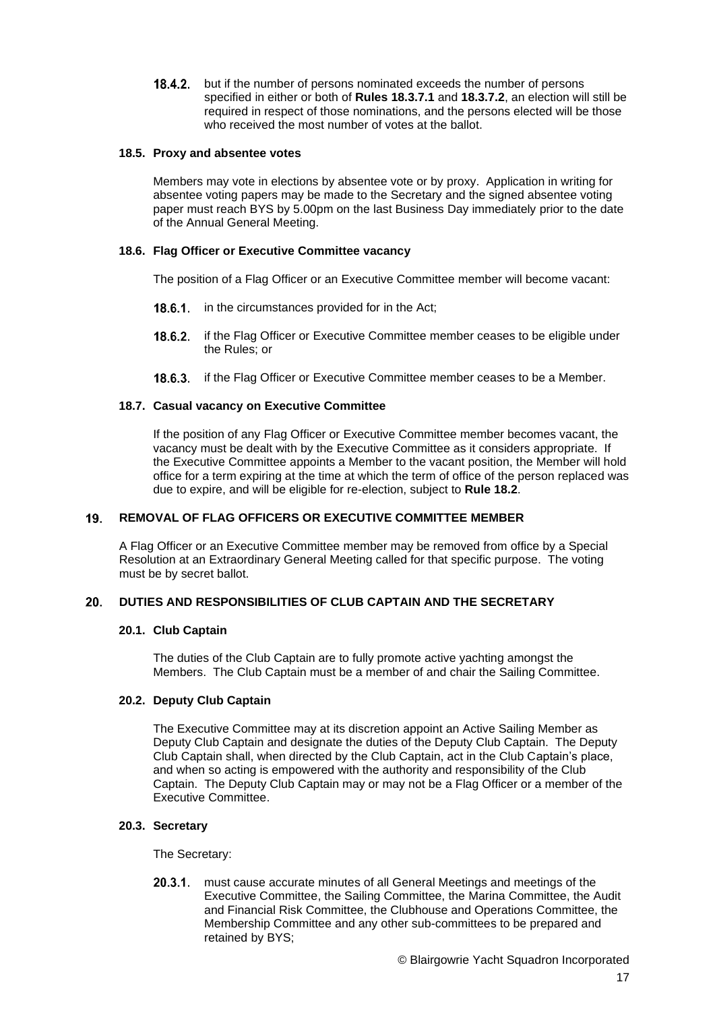**18.4.2.** but if the number of persons nominated exceeds the number of persons specified in either or both of **Rules 18.3.7.1** and **18.3.7.2**, an election will still be required in respect of those nominations, and the persons elected will be those who received the most number of votes at the ballot.

### **18.5. Proxy and absentee votes**

Members may vote in elections by absentee vote or by proxy. Application in writing for absentee voting papers may be made to the Secretary and the signed absentee voting paper must reach BYS by 5.00pm on the last Business Day immediately prior to the date of the Annual General Meeting.

# **18.6. Flag Officer or Executive Committee vacancy**

The position of a Flag Officer or an Executive Committee member will become vacant:

- 18.6.1. in the circumstances provided for in the Act;
- 18.6.2. if the Flag Officer or Executive Committee member ceases to be eligible under the Rules; or
- **18.6.3.** if the Flag Officer or Executive Committee member ceases to be a Member.

# **18.7. Casual vacancy on Executive Committee**

If the position of any Flag Officer or Executive Committee member becomes vacant, the vacancy must be dealt with by the Executive Committee as it considers appropriate. If the Executive Committee appoints a Member to the vacant position, the Member will hold office for a term expiring at the time at which the term of office of the person replaced was due to expire, and will be eligible for re-election, subject to **Rule [18.2](#page-14-0)**.

#### 19. **REMOVAL OF FLAG OFFICERS OR EXECUTIVE COMMITTEE MEMBER**

A Flag Officer or an Executive Committee member may be removed from office by a Special Resolution at an Extraordinary General Meeting called for that specific purpose. The voting must be by secret ballot.

#### $20.$ **DUTIES AND RESPONSIBILITIES OF CLUB CAPTAIN AND THE SECRETARY**

### **20.1. Club Captain**

The duties of the Club Captain are to fully promote active yachting amongst the Members. The Club Captain must be a member of and chair the Sailing Committee.

# <span id="page-16-0"></span>**20.2. Deputy Club Captain**

The Executive Committee may at its discretion appoint an Active Sailing Member as Deputy Club Captain and designate the duties of the Deputy Club Captain. The Deputy Club Captain shall, when directed by the Club Captain, act in the Club Captain's place, and when so acting is empowered with the authority and responsibility of the Club Captain. The Deputy Club Captain may or may not be a Flag Officer or a member of the Executive Committee.

### **20.3. Secretary**

The Secretary:

 $20.3.1$ . must cause accurate minutes of all General Meetings and meetings of the Executive Committee, the Sailing Committee, the Marina Committee, the Audit and Financial Risk Committee, the Clubhouse and Operations Committee, the Membership Committee and any other sub-committees to be prepared and retained by BYS;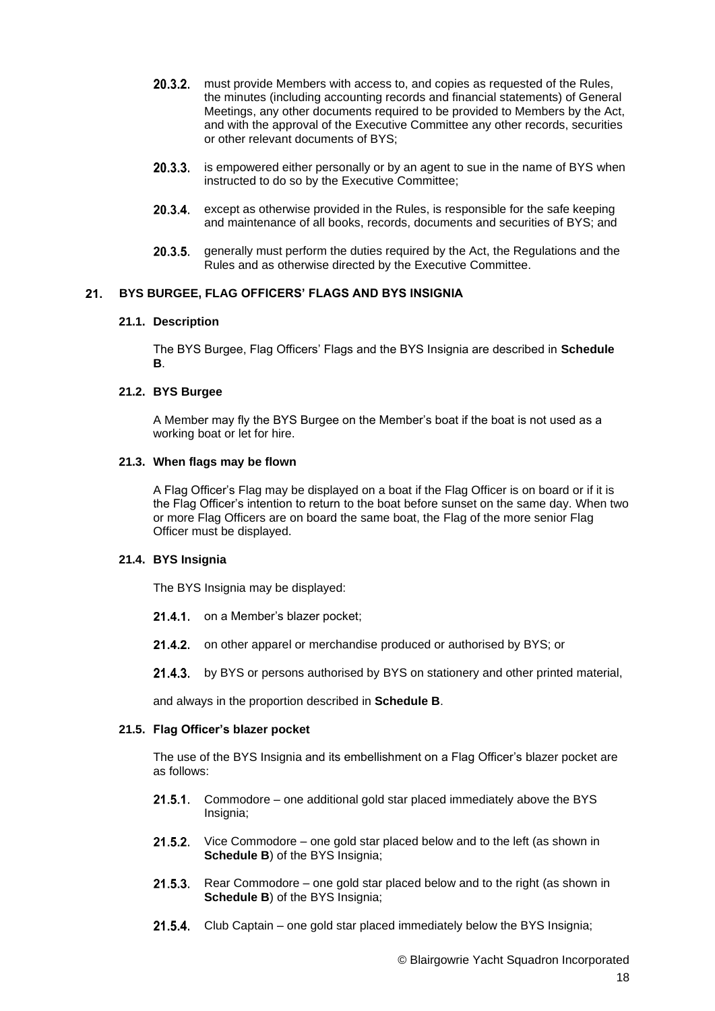- $20.3.2.$ must provide Members with access to, and copies as requested of the Rules, the minutes (including accounting records and financial statements) of General Meetings, any other documents required to be provided to Members by the Act, and with the approval of the Executive Committee any other records, securities or other relevant documents of BYS;
- 20.3.3. is empowered either personally or by an agent to sue in the name of BYS when instructed to do so by the Executive Committee;
- 20.3.4. except as otherwise provided in the Rules, is responsible for the safe keeping and maintenance of all books, records, documents and securities of BYS; and
- 20.3.5. generally must perform the duties required by the Act, the Regulations and the Rules and as otherwise directed by the Executive Committee.

#### $21.$ **BYS BURGEE, FLAG OFFICERS' FLAGS AND BYS INSIGNIA**

### **21.1. Description**

The BYS Burgee, Flag Officers' Flags and the BYS Insignia are described in **Schedule B**.

# **21.2. BYS Burgee**

A Member may fly the BYS Burgee on the Member's boat if the boat is not used as a working boat or let for hire.

#### **21.3. When flags may be flown**

A Flag Officer's Flag may be displayed on a boat if the Flag Officer is on board or if it is the Flag Officer's intention to return to the boat before sunset on the same day. When two or more Flag Officers are on board the same boat, the Flag of the more senior Flag Officer must be displayed.

# **21.4. BYS Insignia**

The BYS Insignia may be displayed:

- 21.4.1 on a Member's blazer pocket;
- 21.4.2. on other apparel or merchandise produced or authorised by BYS; or
- 21.4.3. by BYS or persons authorised by BYS on stationery and other printed material,

and always in the proportion described in **Schedule B**.

# **21.5. Flag Officer's blazer pocket**

The use of the BYS Insignia and its embellishment on a Flag Officer's blazer pocket are as follows:

- **21.5.1.** Commodore one additional gold star placed immediately above the BYS Insignia;
- **21.5.2.** Vice Commodore one gold star placed below and to the left (as shown in **Schedule B**) of the BYS Insignia;
- $21.5.3$ Rear Commodore – one gold star placed below and to the right (as shown in **Schedule B**) of the BYS Insignia:
- 21.5.4. Club Captain one gold star placed immediately below the BYS Insignia;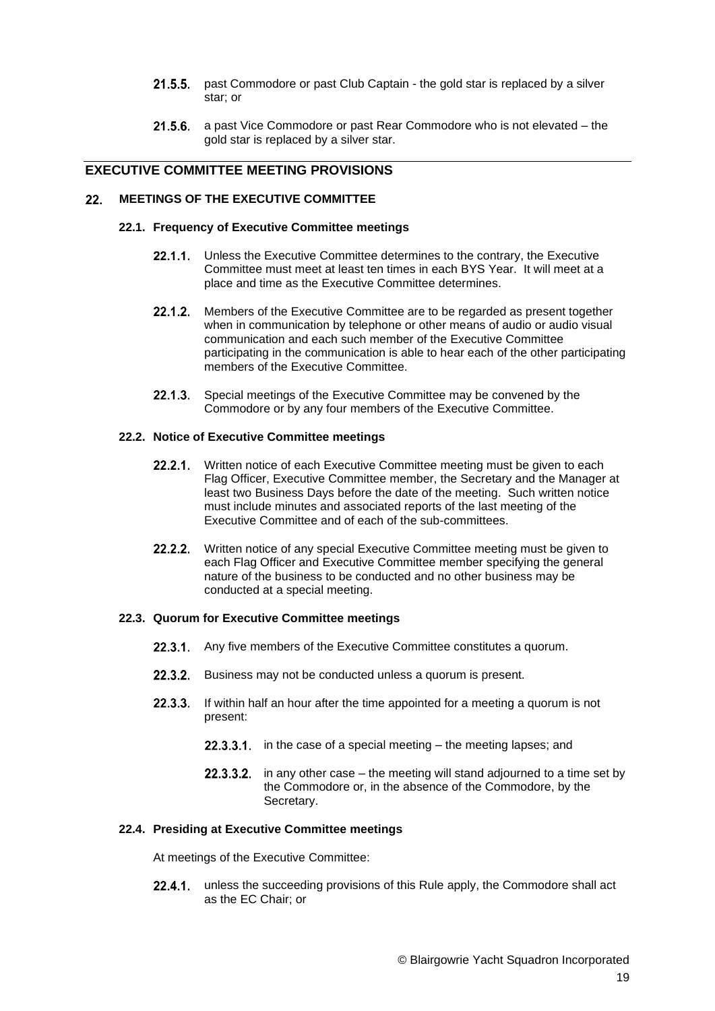- 21.5.5. past Commodore or past Club Captain the gold star is replaced by a silver star; or
- 21.5.6. a past Vice Commodore or past Rear Commodore who is not elevated the gold star is replaced by a silver star.

# **EXECUTIVE COMMITTEE MEETING PROVISIONS**

#### $22<sub>1</sub>$ **MEETINGS OF THE EXECUTIVE COMMITTEE**

#### **22.1. Frequency of Executive Committee meetings**

- 22.1.1. Unless the Executive Committee determines to the contrary, the Executive Committee must meet at least ten times in each BYS Year. It will meet at a place and time as the Executive Committee determines.
- 22.1.2. Members of the Executive Committee are to be regarded as present together when in communication by telephone or other means of audio or audio visual communication and each such member of the Executive Committee participating in the communication is able to hear each of the other participating members of the Executive Committee.
- 22.1.3. Special meetings of the Executive Committee may be convened by the Commodore or by any four members of the Executive Committee.

# **22.2. Notice of Executive Committee meetings**

- 22.2.1. Written notice of each Executive Committee meeting must be given to each Flag Officer, Executive Committee member, the Secretary and the Manager at least two Business Days before the date of the meeting. Such written notice must include minutes and associated reports of the last meeting of the Executive Committee and of each of the sub-committees.
- 22.2.2. Written notice of any special Executive Committee meeting must be given to each Flag Officer and Executive Committee member specifying the general nature of the business to be conducted and no other business may be conducted at a special meeting.

## **22.3. Quorum for Executive Committee meetings**

- 22.3.1. Any five members of the Executive Committee constitutes a quorum.
- 22.3.2. Business may not be conducted unless a quorum is present.
- 22.3.3. If within half an hour after the time appointed for a meeting a quorum is not present:
	- **22.3.3.1.** in the case of a special meeting the meeting lapses; and
	- **22.3.3.2.** in any other case the meeting will stand adjourned to a time set by the Commodore or, in the absence of the Commodore, by the Secretary.

#### **22.4. Presiding at Executive Committee meetings**

At meetings of the Executive Committee:

22.4.1. unless the succeeding provisions of this Rule apply, the Commodore shall act as the EC Chair; or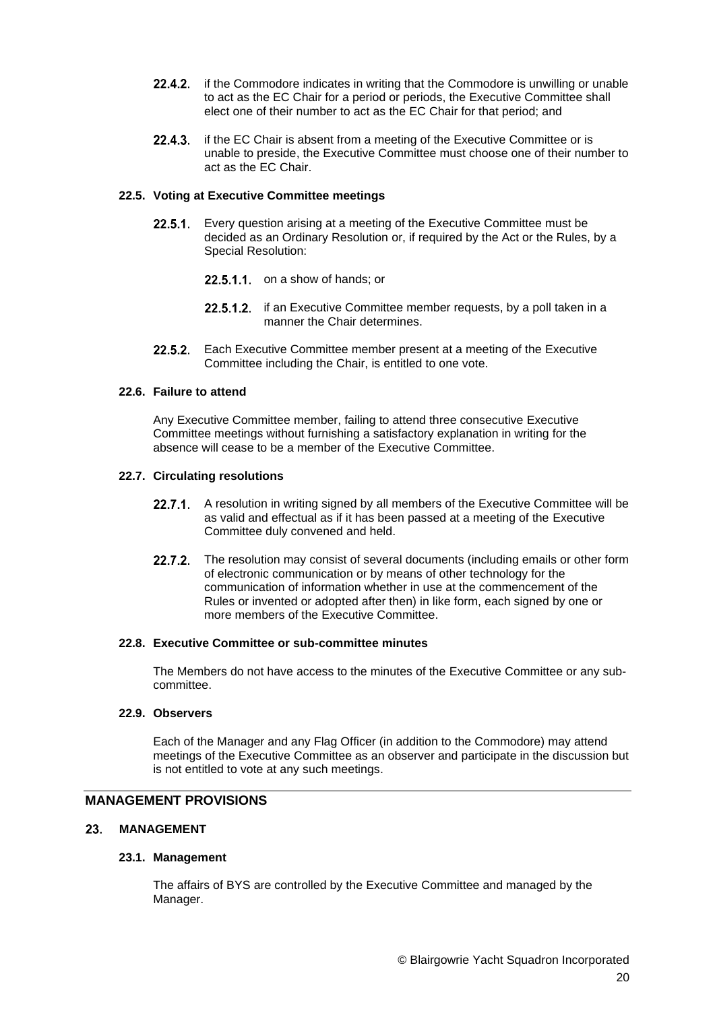- 22.4.2. if the Commodore indicates in writing that the Commodore is unwilling or unable to act as the EC Chair for a period or periods, the Executive Committee shall elect one of their number to act as the EC Chair for that period; and
- if the EC Chair is absent from a meeting of the Executive Committee or is  $22.4.3.$ unable to preside, the Executive Committee must choose one of their number to act as the EC Chair.

### **22.5. Voting at Executive Committee meetings**

- 22.5.1. Every question arising at a meeting of the Executive Committee must be decided as an Ordinary Resolution or, if required by the Act or the Rules, by a Special Resolution:
	- $22.5.1.1$  on a show of hands; or
	- 22.5.1.2. if an Executive Committee member requests, by a poll taken in a manner the Chair determines.
- Each Executive Committee member present at a meeting of the Executive  $22.5.2.$ Committee including the Chair, is entitled to one vote.

# **22.6. Failure to attend**

Any Executive Committee member, failing to attend three consecutive Executive Committee meetings without furnishing a satisfactory explanation in writing for the absence will cease to be a member of the Executive Committee.

# **22.7. Circulating resolutions**

- 22.7.1. A resolution in writing signed by all members of the Executive Committee will be as valid and effectual as if it has been passed at a meeting of the Executive Committee duly convened and held.
- 22.7.2. The resolution may consist of several documents (including emails or other form of electronic communication or by means of other technology for the communication of information whether in use at the commencement of the Rules or invented or adopted after then) in like form, each signed by one or more members of the Executive Committee.

### **22.8. Executive Committee or sub-committee minutes**

The Members do not have access to the minutes of the Executive Committee or any subcommittee.

### **22.9. Observers**

Each of the Manager and any Flag Officer (in addition to the Commodore) may attend meetings of the Executive Committee as an observer and participate in the discussion but is not entitled to vote at any such meetings.

# **MANAGEMENT PROVISIONS**

#### **MANAGEMENT** 23.

### **23.1. Management**

The affairs of BYS are controlled by the Executive Committee and managed by the Manager.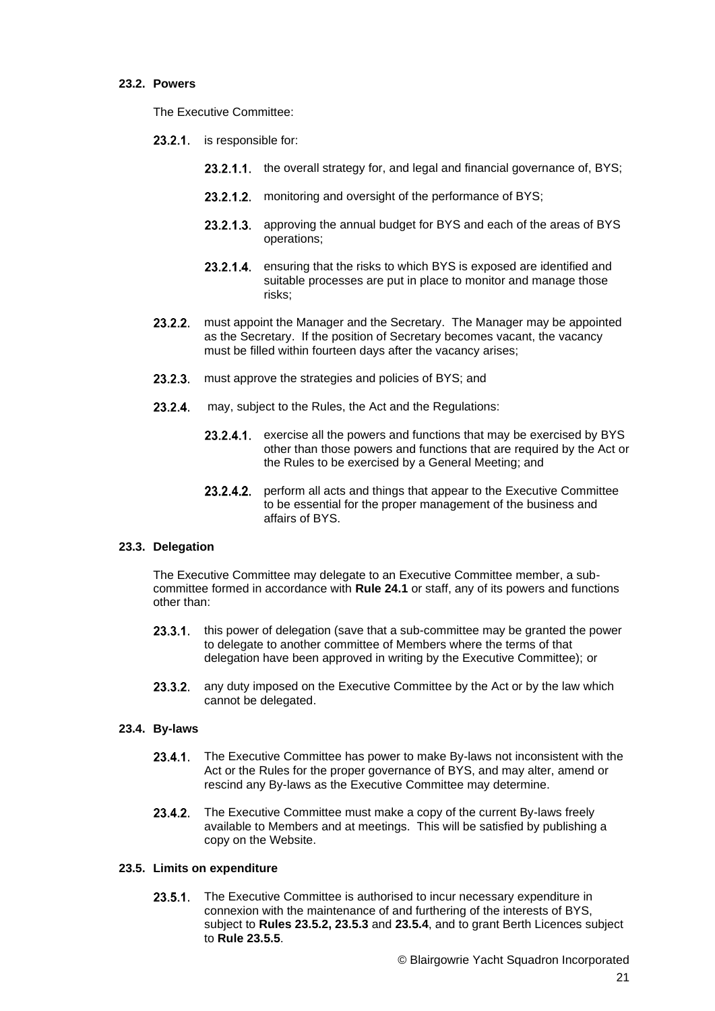## **23.2. Powers**

The Executive Committee:

- 23.2.1 is responsible for:
	- 23.2.1.1. the overall strategy for, and legal and financial governance of, BYS;
	- 23.2.1.2. monitoring and oversight of the performance of BYS;
	- 23.2.1.3. approving the annual budget for BYS and each of the areas of BYS operations;
	- $23.2.1.4.$ ensuring that the risks to which BYS is exposed are identified and suitable processes are put in place to monitor and manage those risks;
- must appoint the Manager and the Secretary. The Manager may be appointed  $23.2.2.$ as the Secretary. If the position of Secretary becomes vacant, the vacancy must be filled within fourteen days after the vacancy arises;
- $23.2.3.$ must approve the strategies and policies of BYS; and
- $23.2.4.$ may, subject to the Rules, the Act and the Regulations:
	- 23.2.4.1. exercise all the powers and functions that may be exercised by BYS other than those powers and functions that are required by the Act or the Rules to be exercised by a General Meeting; and
	- 23.2.4.2. perform all acts and things that appear to the Executive Committee to be essential for the proper management of the business and affairs of BYS.

# **23.3. Delegation**

The Executive Committee may delegate to an Executive Committee member, a subcommittee formed in accordance with **Rule 24.1** or staff, any of its powers and functions other than:

- 23.3.1. this power of delegation (save that a sub-committee may be granted the power to delegate to another committee of Members where the terms of that delegation have been approved in writing by the Executive Committee); or
- 23.3.2. any duty imposed on the Executive Committee by the Act or by the law which cannot be delegated.

# **23.4. By-laws**

- 23.4.1. The Executive Committee has power to make By-laws not inconsistent with the Act or the Rules for the proper governance of BYS, and may alter, amend or rescind any By-laws as the Executive Committee may determine.
- $23.4.2.$ The Executive Committee must make a copy of the current By-laws freely available to Members and at meetings. This will be satisfied by publishing a copy on the Website.

### **23.5. Limits on expenditure**

23.5.1. The Executive Committee is authorised to incur necessary expenditure in connexion with the maintenance of and furthering of the interests of BYS, subject to **Rules 23.5.2, 23.5.3** and **23.5.4**, and to grant Berth Licences subject to **Rule 23.5.5**.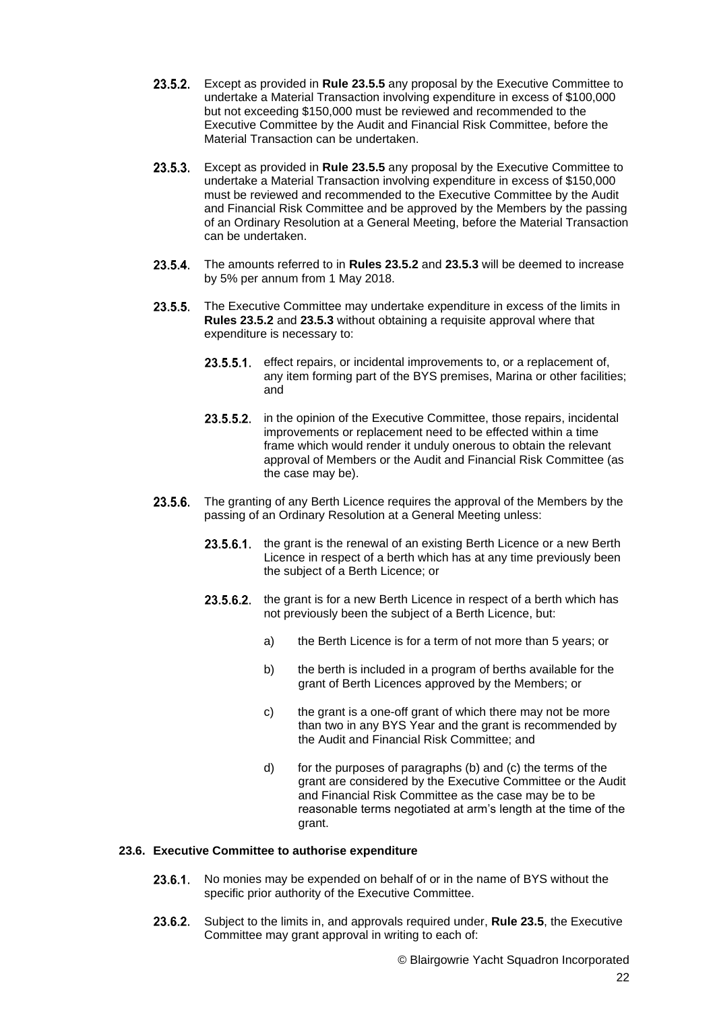- Except as provided in **Rule 23.5.5** any proposal by the Executive Committee to undertake a Material Transaction involving expenditure in excess of \$100,000 but not exceeding \$150,000 must be reviewed and recommended to the Executive Committee by the Audit and Financial Risk Committee, before the Material Transaction can be undertaken.
- Except as provided in **Rule 23.5.5** any proposal by the Executive Committee to undertake a Material Transaction involving expenditure in excess of \$150,000 must be reviewed and recommended to the Executive Committee by the Audit and Financial Risk Committee and be approved by the Members by the passing of an Ordinary Resolution at a General Meeting, before the Material Transaction can be undertaken.
- 23.5.4. The amounts referred to in **Rules 23.5.2** and 23.5.3 will be deemed to increase by 5% per annum from 1 May 2018.
- **23.5.5.** The Executive Committee may undertake expenditure in excess of the limits in **Rules 23.5.2** and **23.5.3** without obtaining a requisite approval where that expenditure is necessary to:
	- 23.5.5.1. effect repairs, or incidental improvements to, or a replacement of, any item forming part of the BYS premises, Marina or other facilities; and
	- 23.5.5.2. in the opinion of the Executive Committee, those repairs, incidental improvements or replacement need to be effected within a time frame which would render it unduly onerous to obtain the relevant approval of Members or the Audit and Financial Risk Committee (as the case may be).
- 23.5.6. The granting of any Berth Licence requires the approval of the Members by the passing of an Ordinary Resolution at a General Meeting unless:
	- 23.5.6.1. the grant is the renewal of an existing Berth Licence or a new Berth Licence in respect of a berth which has at any time previously been the subject of a Berth Licence; or
	- 23.5.6.2. the grant is for a new Berth Licence in respect of a berth which has not previously been the subject of a Berth Licence, but:
		- a) the Berth Licence is for a term of not more than 5 years; or
		- b) the berth is included in a program of berths available for the grant of Berth Licences approved by the Members; or
		- c) the grant is a one-off grant of which there may not be more than two in any BYS Year and the grant is recommended by the Audit and Financial Risk Committee; and
		- d) for the purposes of paragraphs (b) and (c) the terms of the grant are considered by the Executive Committee or the Audit and Financial Risk Committee as the case may be to be reasonable terms negotiated at arm's length at the time of the grant.

### **23.6. Executive Committee to authorise expenditure**

- No monies may be expended on behalf of or in the name of BYS without the  $23.6.1.$ specific prior authority of the Executive Committee.
- $23.6.2.$ Subject to the limits in, and approvals required under, **Rule 23.5**, the Executive Committee may grant approval in writing to each of: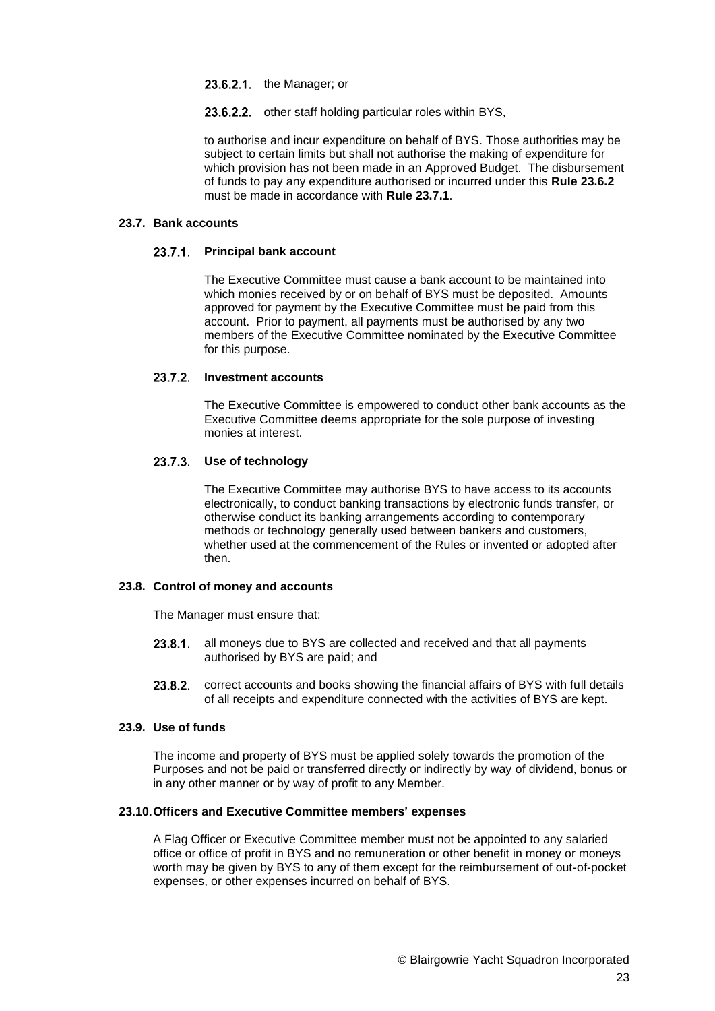- 23.6.2.1. the Manager; or
- 23.6.2.2. other staff holding particular roles within BYS,

to authorise and incur expenditure on behalf of BYS. Those authorities may be subject to certain limits but shall not authorise the making of expenditure for which provision has not been made in an Approved Budget. The disbursement of funds to pay any expenditure authorised or incurred under this **Rule 23.6.2** must be made in accordance with **Rule 23.7.1**.

### **23.7. Bank accounts**

### **Principal bank account**

The Executive Committee must cause a bank account to be maintained into which monies received by or on behalf of BYS must be deposited. Amounts approved for payment by the Executive Committee must be paid from this account. Prior to payment, all payments must be authorised by any two members of the Executive Committee nominated by the Executive Committee for this purpose.

# 23.7.2. Investment accounts

The Executive Committee is empowered to conduct other bank accounts as the Executive Committee deems appropriate for the sole purpose of investing monies at interest.

# **Use of technology**

The Executive Committee may authorise BYS to have access to its accounts electronically, to conduct banking transactions by electronic funds transfer, or otherwise conduct its banking arrangements according to contemporary methods or technology generally used between bankers and customers, whether used at the commencement of the Rules or invented or adopted after then.

# **23.8. Control of money and accounts**

The Manager must ensure that:

- all moneys due to BYS are collected and received and that all payments  $23.8.1$ authorised by BYS are paid; and
- 23.8.2. correct accounts and books showing the financial affairs of BYS with full details of all receipts and expenditure connected with the activities of BYS are kept.

### **23.9. Use of funds**

The income and property of BYS must be applied solely towards the promotion of the Purposes and not be paid or transferred directly or indirectly by way of dividend, bonus or in any other manner or by way of profit to any Member.

### **23.10.Officers and Executive Committee members' expenses**

A Flag Officer or Executive Committee member must not be appointed to any salaried office or office of profit in BYS and no remuneration or other benefit in money or moneys worth may be given by BYS to any of them except for the reimbursement of out-of-pocket expenses, or other expenses incurred on behalf of BYS.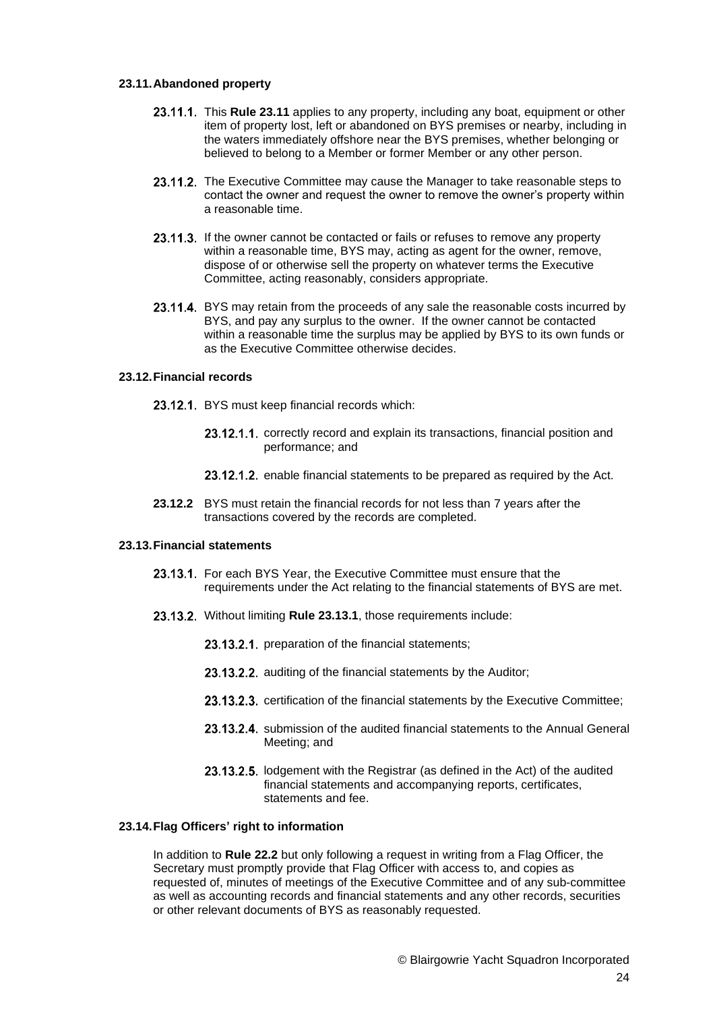#### **23.11.Abandoned property**

- 23.11.1. This Rule 23.11 applies to any property, including any boat, equipment or other item of property lost, left or abandoned on BYS premises or nearby, including in the waters immediately offshore near the BYS premises, whether belonging or believed to belong to a Member or former Member or any other person.
- 23.11.2. The Executive Committee may cause the Manager to take reasonable steps to contact the owner and request the owner to remove the owner's property within a reasonable time.
- 23.11.3. If the owner cannot be contacted or fails or refuses to remove any property within a reasonable time, BYS may, acting as agent for the owner, remove, dispose of or otherwise sell the property on whatever terms the Executive Committee, acting reasonably, considers appropriate.
- 23.11.4. BYS may retain from the proceeds of any sale the reasonable costs incurred by BYS, and pay any surplus to the owner. If the owner cannot be contacted within a reasonable time the surplus may be applied by BYS to its own funds or as the Executive Committee otherwise decides.

### **23.12.Financial records**

- 23.12.1. BYS must keep financial records which:
	- 23.12.1.1. correctly record and explain its transactions, financial position and performance; and
	- 23.12.1.2. enable financial statements to be prepared as required by the Act.
- **23.12.2** BYS must retain the financial records for not less than 7 years after the transactions covered by the records are completed.

### **23.13.Financial statements**

- 23.13.1. For each BYS Year, the Executive Committee must ensure that the requirements under the Act relating to the financial statements of BYS are met.
- 23.13.2. Without limiting Rule 23.13.1, those requirements include:
	- 23.13.2.1. preparation of the financial statements;
	- 23.13.2.2. auditing of the financial statements by the Auditor:
	- 23.13.2.3. certification of the financial statements by the Executive Committee;
	- 23.13.2.4. submission of the audited financial statements to the Annual General Meeting; and
	- 23.13.2.5. lodgement with the Registrar (as defined in the Act) of the audited financial statements and accompanying reports, certificates, statements and fee.

### **23.14.Flag Officers' right to information**

In addition to **Rule 22.2** but only following a request in writing from a Flag Officer, the Secretary must promptly provide that Flag Officer with access to, and copies as requested of, minutes of meetings of the Executive Committee and of any sub-committee as well as accounting records and financial statements and any other records, securities or other relevant documents of BYS as reasonably requested.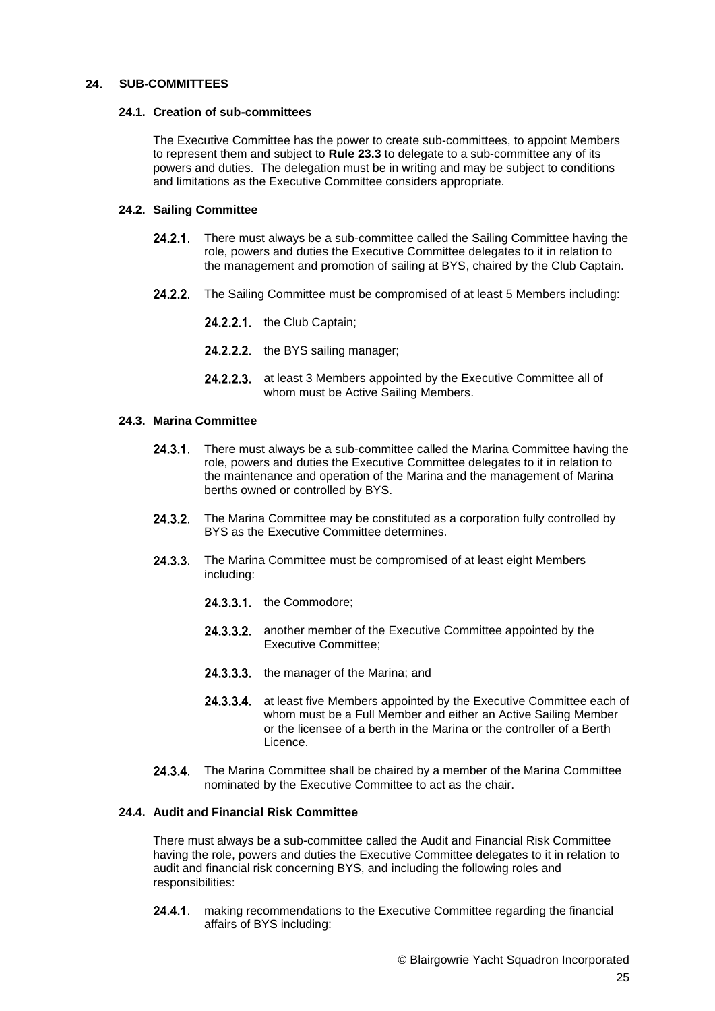#### $24.$ **SUB-COMMITTEES**

## **24.1. Creation of sub-committees**

The Executive Committee has the power to create sub-committees, to appoint Members to represent them and subject to **Rule 23.3** to delegate to a sub-committee any of its powers and duties. The delegation must be in writing and may be subject to conditions and limitations as the Executive Committee considers appropriate.

# <span id="page-24-0"></span>**24.2. Sailing Committee**

- 24.2.1. There must always be a sub-committee called the Sailing Committee having the role, powers and duties the Executive Committee delegates to it in relation to the management and promotion of sailing at BYS, chaired by the Club Captain.
- 24.2.2. The Sailing Committee must be compromised of at least 5 Members including:
	- 24.2.2.1 the Club Captain;
	- 24.2.2.2. the BYS sailing manager;
	- 24.2.2.3. at least 3 Members appointed by the Executive Committee all of whom must be Active Sailing Members.

# **24.3. Marina Committee**

- 24.3.1. There must always be a sub-committee called the Marina Committee having the role, powers and duties the Executive Committee delegates to it in relation to the maintenance and operation of the Marina and the management of Marina berths owned or controlled by BYS.
- 24.3.2. The Marina Committee may be constituted as a corporation fully controlled by BYS as the Executive Committee determines.
- 24.3.3. The Marina Committee must be compromised of at least eight Members including:
	- $24.3.3.1$ . the Commodore:
	- 24.3.3.2. another member of the Executive Committee appointed by the Executive Committee;
	- 24.3.3.3. the manager of the Marina; and
	- 24.3.3.4. at least five Members appointed by the Executive Committee each of whom must be a Full Member and either an Active Sailing Member or the licensee of a berth in the Marina or the controller of a Berth Licence.
- 24.3.4. The Marina Committee shall be chaired by a member of the Marina Committee nominated by the Executive Committee to act as the chair.

### **24.4. Audit and Financial Risk Committee**

There must always be a sub-committee called the Audit and Financial Risk Committee having the role, powers and duties the Executive Committee delegates to it in relation to audit and financial risk concerning BYS, and including the following roles and responsibilities:

making recommendations to the Executive Committee regarding the financial 24.4.1 affairs of BYS including: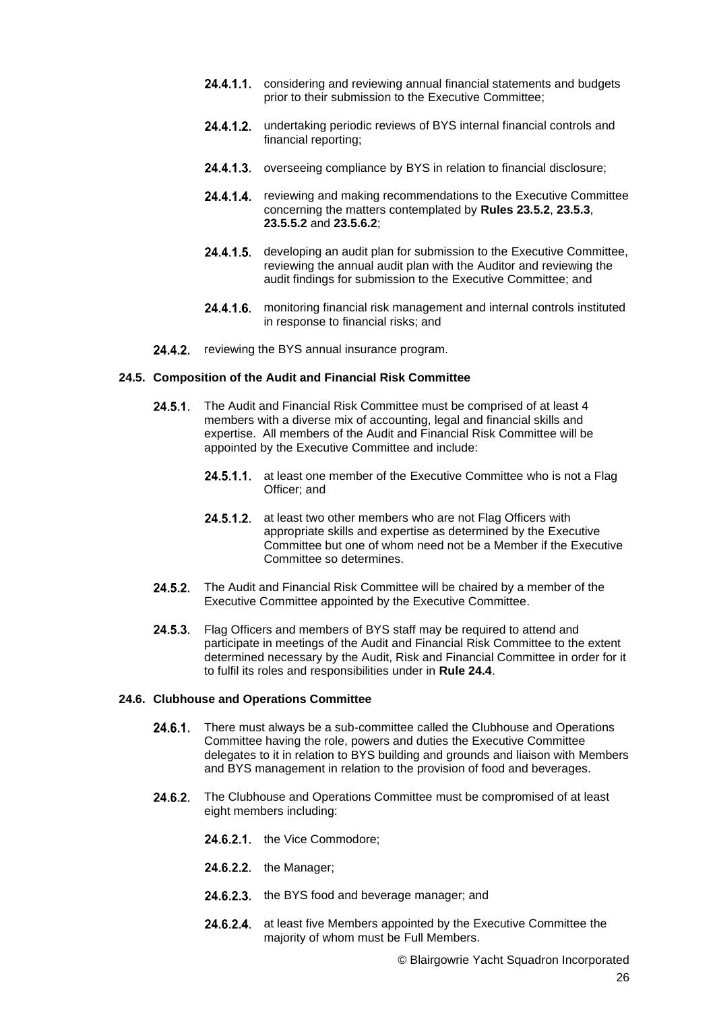- **24.4.1.1** considering and reviewing annual financial statements and budgets prior to their submission to the Executive Committee;
- 24.4.1.2. undertaking periodic reviews of BYS internal financial controls and financial reporting;
- 24.4.1.3. overseeing compliance by BYS in relation to financial disclosure;
- 24.4.1.4. reviewing and making recommendations to the Executive Committee concerning the matters contemplated by **Rules 23.5.2**, **23.5.3**, **23.5.5.2** and **23.5.6.2**;
- 24.4.1.5. developing an audit plan for submission to the Executive Committee, reviewing the annual audit plan with the Auditor and reviewing the audit findings for submission to the Executive Committee; and
- 24.4.1.6. monitoring financial risk management and internal controls instituted in response to financial risks; and
- 24.4.2. reviewing the BYS annual insurance program.

#### **24.5. Composition of the Audit and Financial Risk Committee**

- 24.5.1. The Audit and Financial Risk Committee must be comprised of at least 4 members with a diverse mix of accounting, legal and financial skills and expertise. All members of the Audit and Financial Risk Committee will be appointed by the Executive Committee and include:
	- 24.5.1.1. at least one member of the Executive Committee who is not a Flag Officer; and
	- 24.5.1.2. at least two other members who are not Flag Officers with appropriate skills and expertise as determined by the Executive Committee but one of whom need not be a Member if the Executive Committee so determines.
- 24.5.2. The Audit and Financial Risk Committee will be chaired by a member of the Executive Committee appointed by the Executive Committee.
- 24.5.3. Flag Officers and members of BYS staff may be required to attend and participate in meetings of the Audit and Financial Risk Committee to the extent determined necessary by the Audit, Risk and Financial Committee in order for it to fulfil its roles and responsibilities under in **Rule 24.4**.

#### **24.6. Clubhouse and Operations Committee**

- 24.6.1. There must always be a sub-committee called the Clubhouse and Operations Committee having the role, powers and duties the Executive Committee delegates to it in relation to BYS building and grounds and liaison with Members and BYS management in relation to the provision of food and beverages.
- The Clubhouse and Operations Committee must be compromised of at least  $24.6.2.$ eight members including:
	- 24.6.2.1. the Vice Commodore:
	- 24.6.2.2. the Manager;
	- 24.6.2.3. the BYS food and beverage manager; and
	- 24.6.2.4. at least five Members appointed by the Executive Committee the majority of whom must be Full Members.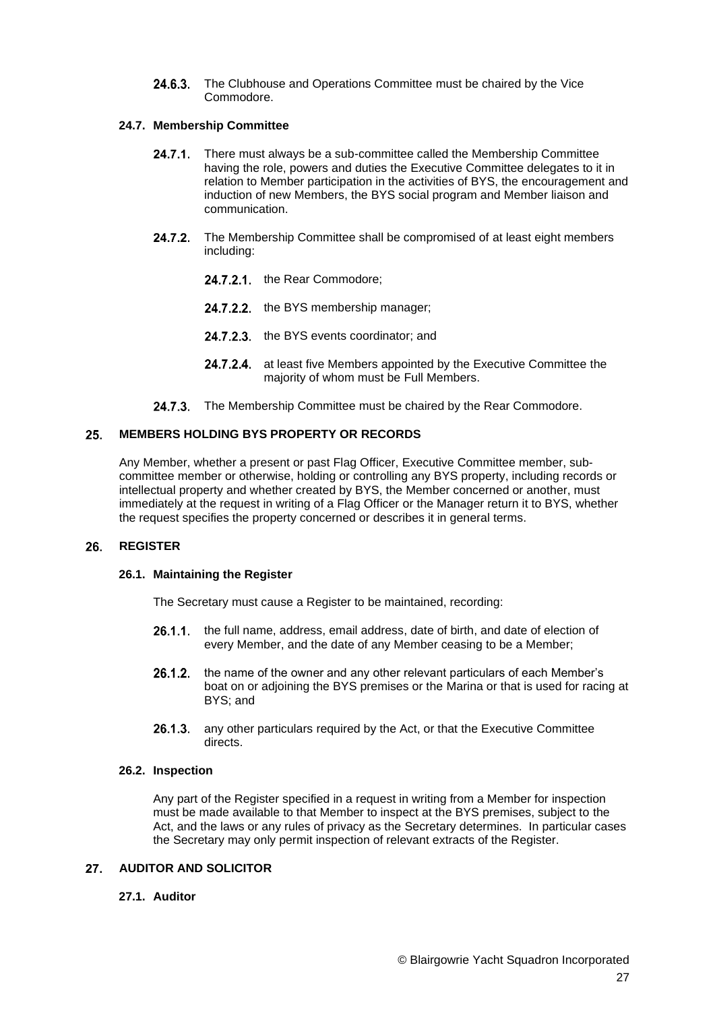24.6.3. The Clubhouse and Operations Committee must be chaired by the Vice Commodore.

# **24.7. Membership Committee**

- $24.7.1$ There must always be a sub-committee called the Membership Committee having the role, powers and duties the Executive Committee delegates to it in relation to Member participation in the activities of BYS, the encouragement and induction of new Members, the BYS social program and Member liaison and communication.
- 24.7.2. The Membership Committee shall be compromised of at least eight members including:
	- 24.7.2.1. the Rear Commodore;
	- 24.7.2.2. the BYS membership manager;
	- 24.7.2.3. the BYS events coordinator; and
	- 24.7.2.4 at least five Members appointed by the Executive Committee the majority of whom must be Full Members.
- 24.7.3. The Membership Committee must be chaired by the Rear Commodore.

#### **MEMBERS HOLDING BYS PROPERTY OR RECORDS** 25.

Any Member, whether a present or past Flag Officer, Executive Committee member, subcommittee member or otherwise, holding or controlling any BYS property, including records or intellectual property and whether created by BYS, the Member concerned or another, must immediately at the request in writing of a Flag Officer or the Manager return it to BYS, whether the request specifies the property concerned or describes it in general terms.

#### <span id="page-26-0"></span> $26.$ **REGISTER**

### **26.1. Maintaining the Register**

The Secretary must cause a Register to be maintained, recording:

- 26.1.1. the full name, address, email address, date of birth, and date of election of every Member, and the date of any Member ceasing to be a Member;
- $26.1.2.$ the name of the owner and any other relevant particulars of each Member's boat on or adjoining the BYS premises or the Marina or that is used for racing at BYS; and
- any other particulars required by the Act, or that the Executive Committee  $26.1.3.$ directs.

### **26.2. Inspection**

Any part of the Register specified in a request in writing from a Member for inspection must be made available to that Member to inspect at the BYS premises, subject to the Act, and the laws or any rules of privacy as the Secretary determines. In particular cases the Secretary may only permit inspection of relevant extracts of the Register.

#### **AUDITOR AND SOLICITOR**  $27.$

# **27.1. Auditor**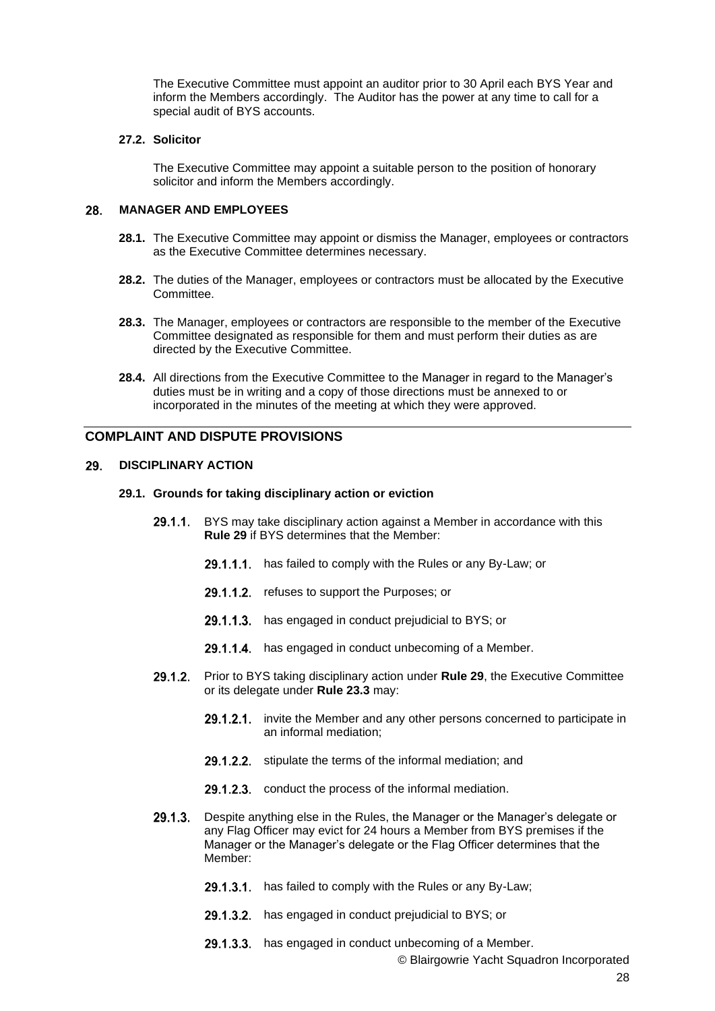The Executive Committee must appoint an auditor prior to 30 April each BYS Year and inform the Members accordingly. The Auditor has the power at any time to call for a special audit of BYS accounts.

### **27.2. Solicitor**

The Executive Committee may appoint a suitable person to the position of honorary solicitor and inform the Members accordingly.

#### 28. **MANAGER AND EMPLOYEES**

- **28.1.** The Executive Committee may appoint or dismiss the Manager, employees or contractors as the Executive Committee determines necessary.
- **28.2.** The duties of the Manager, employees or contractors must be allocated by the Executive Committee.
- **28.3.** The Manager, employees or contractors are responsible to the member of the Executive Committee designated as responsible for them and must perform their duties as are directed by the Executive Committee.
- **28.4.** All directions from the Executive Committee to the Manager in regard to the Manager's duties must be in writing and a copy of those directions must be annexed to or incorporated in the minutes of the meeting at which they were approved.

# **COMPLAINT AND DISPUTE PROVISIONS**

#### 29. **DISCIPLINARY ACTION**

## **29.1. Grounds for taking disciplinary action or eviction**

- **29.1.1.** BYS may take disciplinary action against a Member in accordance with this **Rule 29** if BYS determines that the Member:
	- 29.1.1.1. has failed to comply with the Rules or any By-Law; or
	- 29.1.1.2. refuses to support the Purposes; or
	- 29.1.1.3. has engaged in conduct prejudicial to BYS; or
	- 29.1.1.4. has engaged in conduct unbecoming of a Member.
- $29.1.2.$ Prior to BYS taking disciplinary action under **Rule 29**, the Executive Committee or its delegate under **Rule 23.3** may:
	- 29.1.2.1. invite the Member and any other persons concerned to participate in an informal mediation;
	- 29.1.2.2. stipulate the terms of the informal mediation; and
	- 29.1.2.3. conduct the process of the informal mediation.
- 29.1.3. Despite anything else in the Rules, the Manager or the Manager's delegate or any Flag Officer may evict for 24 hours a Member from BYS premises if the Manager or the Manager's delegate or the Flag Officer determines that the Member:
	- 29.1.3.1. has failed to comply with the Rules or any By-Law;
	- 29.1.3.2. has engaged in conduct prejudicial to BYS; or
	- 29.1.3.3. has engaged in conduct unbecoming of a Member.

© Blairgowrie Yacht Squadron Incorporated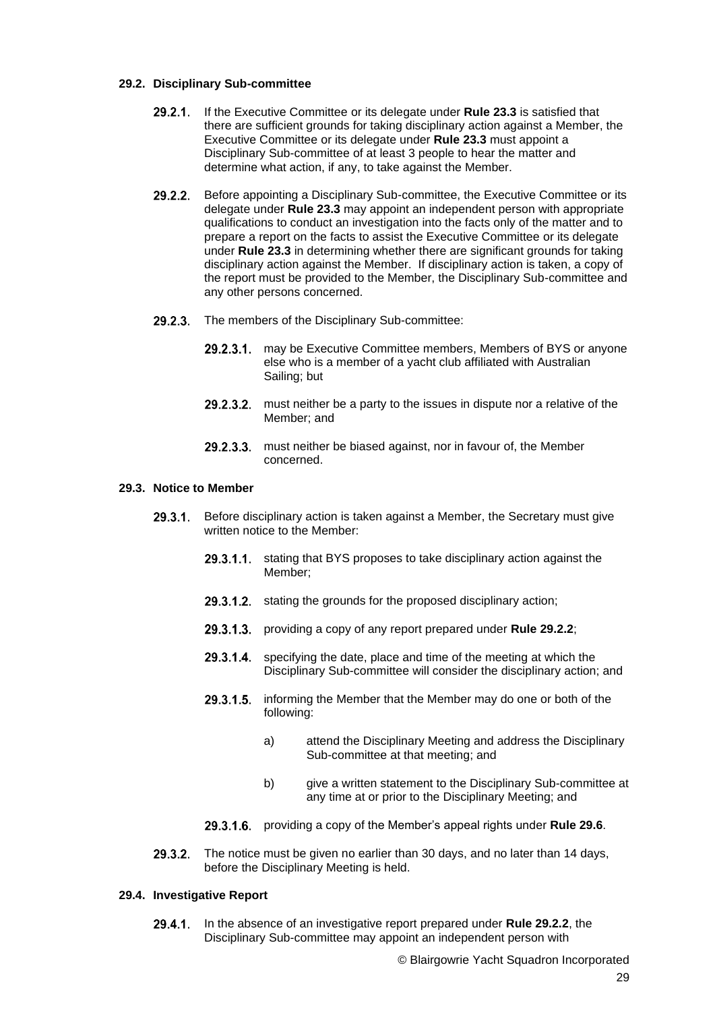## **29.2. Disciplinary Sub-committee**

- 29.2.1. If the Executive Committee or its delegate under Rule 23.3 is satisfied that there are sufficient grounds for taking disciplinary action against a Member, the Executive Committee or its delegate under **Rule 23.3** must appoint a Disciplinary Sub-committee of at least 3 people to hear the matter and determine what action, if any, to take against the Member.
- $29.2.2.$ Before appointing a Disciplinary Sub-committee, the Executive Committee or its delegate under **Rule 23.3** may appoint an independent person with appropriate qualifications to conduct an investigation into the facts only of the matter and to prepare a report on the facts to assist the Executive Committee or its delegate under **Rule 23.3** in determining whether there are significant grounds for taking disciplinary action against the Member. If disciplinary action is taken, a copy of the report must be provided to the Member, the Disciplinary Sub-committee and any other persons concerned.
- 29.2.3. The members of the Disciplinary Sub-committee:
	- 29.2.3.1. may be Executive Committee members, Members of BYS or anyone else who is a member of a yacht club affiliated with Australian Sailing; but
	- $29.2.3.2.$ must neither be a party to the issues in dispute nor a relative of the Member; and
	- 29.2.3.3. must neither be biased against, nor in favour of, the Member concerned.

# **29.3. Notice to Member**

- Before disciplinary action is taken against a Member, the Secretary must give  $29.3.1$ written notice to the Member:
	- 29.3.1.1. stating that BYS proposes to take disciplinary action against the Member;
	- 29.3.1.2. stating the grounds for the proposed disciplinary action;
	- 29.3.1.3. providing a copy of any report prepared under **Rule 29.2.2**;
	- specifying the date, place and time of the meeting at which the  $29.3.1.4$ Disciplinary Sub-committee will consider the disciplinary action; and
	- informing the Member that the Member may do one or both of the 29.3.1.5. following:
		- a) attend the Disciplinary Meeting and address the Disciplinary Sub-committee at that meeting; and
		- b) give a written statement to the Disciplinary Sub-committee at any time at or prior to the Disciplinary Meeting; and
	- 29.3.1.6. providing a copy of the Member's appeal rights under **Rule 29.6**.
- $29.3.2.$ The notice must be given no earlier than 30 days, and no later than 14 days, before the Disciplinary Meeting is held.

### **29.4. Investigative Report**

 $29.4.1$ In the absence of an investigative report prepared under **Rule 29.2.2**, the Disciplinary Sub-committee may appoint an independent person with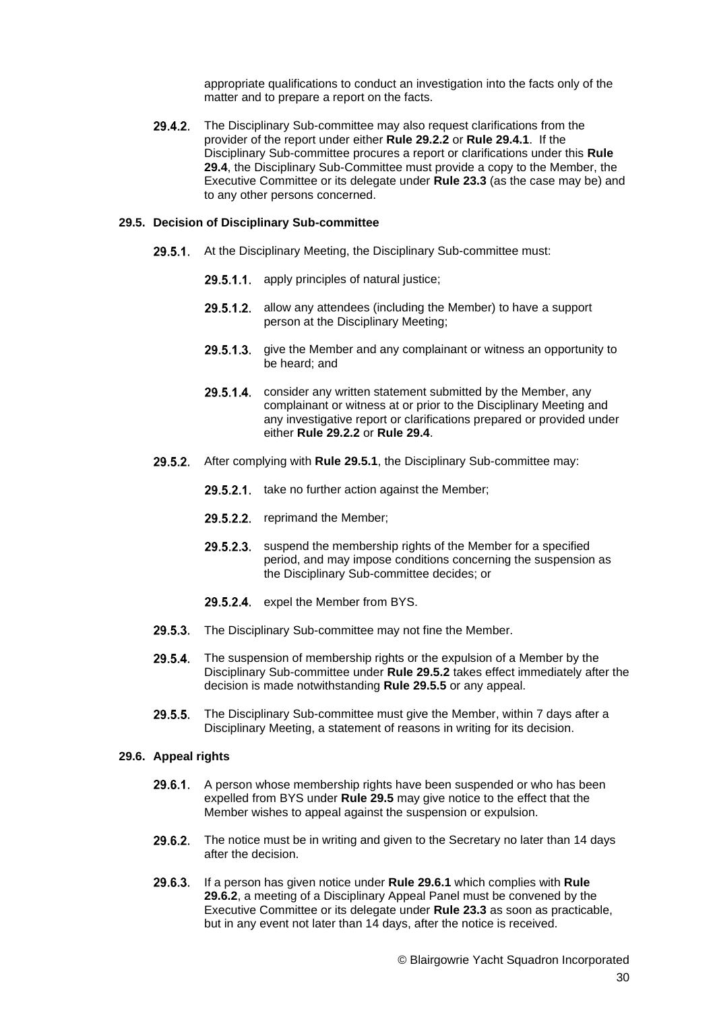appropriate qualifications to conduct an investigation into the facts only of the matter and to prepare a report on the facts.

29.4.2. The Disciplinary Sub-committee may also request clarifications from the provider of the report under either **Rule 29.2.2** or **Rule 29.4.1**. If the Disciplinary Sub-committee procures a report or clarifications under this **Rule 29.4**, the Disciplinary Sub-Committee must provide a copy to the Member, the Executive Committee or its delegate under **Rule 23.3** (as the case may be) and to any other persons concerned.

#### **29.5. Decision of Disciplinary Sub-committee**

- 29.5.1. At the Disciplinary Meeting, the Disciplinary Sub-committee must:
	- 29.5.1.1. apply principles of natural justice;
	- 29.5.1.2. allow any attendees (including the Member) to have a support person at the Disciplinary Meeting;
	- 29.5.1.3. give the Member and any complainant or witness an opportunity to be heard; and
	- 29.5.1.4. consider any written statement submitted by the Member, any complainant or witness at or prior to the Disciplinary Meeting and any investigative report or clarifications prepared or provided under either **Rule 29.2.2** or **Rule 29.4**.
- 29.5.2. After complying with Rule 29.5.1, the Disciplinary Sub-committee may:
	- 29.5.2.1. take no further action against the Member;
	- 29.5.2.2. reprimand the Member;
	- 29.5.2.3. suspend the membership rights of the Member for a specified period, and may impose conditions concerning the suspension as the Disciplinary Sub-committee decides; or
	- 29.5.2.4. expel the Member from BYS.
- 29.5.3. The Disciplinary Sub-committee may not fine the Member.
- $29.5.4$ The suspension of membership rights or the expulsion of a Member by the Disciplinary Sub-committee under **Rule 29.5.2** takes effect immediately after the decision is made notwithstanding **Rule 29.5.5** or any appeal.
- 29.5.5. The Disciplinary Sub-committee must give the Member, within 7 days after a Disciplinary Meeting, a statement of reasons in writing for its decision.

#### **29.6. Appeal rights**

- A person whose membership rights have been suspended or who has been  $29.6.1$ . expelled from BYS under **Rule 29.5** may give notice to the effect that the Member wishes to appeal against the suspension or expulsion.
- 29.6.2. The notice must be in writing and given to the Secretary no later than 14 days after the decision.
- $29.6.3.$ If a person has given notice under **Rule 29.6.1** which complies with **Rule 29.6.2**, a meeting of a Disciplinary Appeal Panel must be convened by the Executive Committee or its delegate under **Rule 23.3** as soon as practicable, but in any event not later than 14 days, after the notice is received.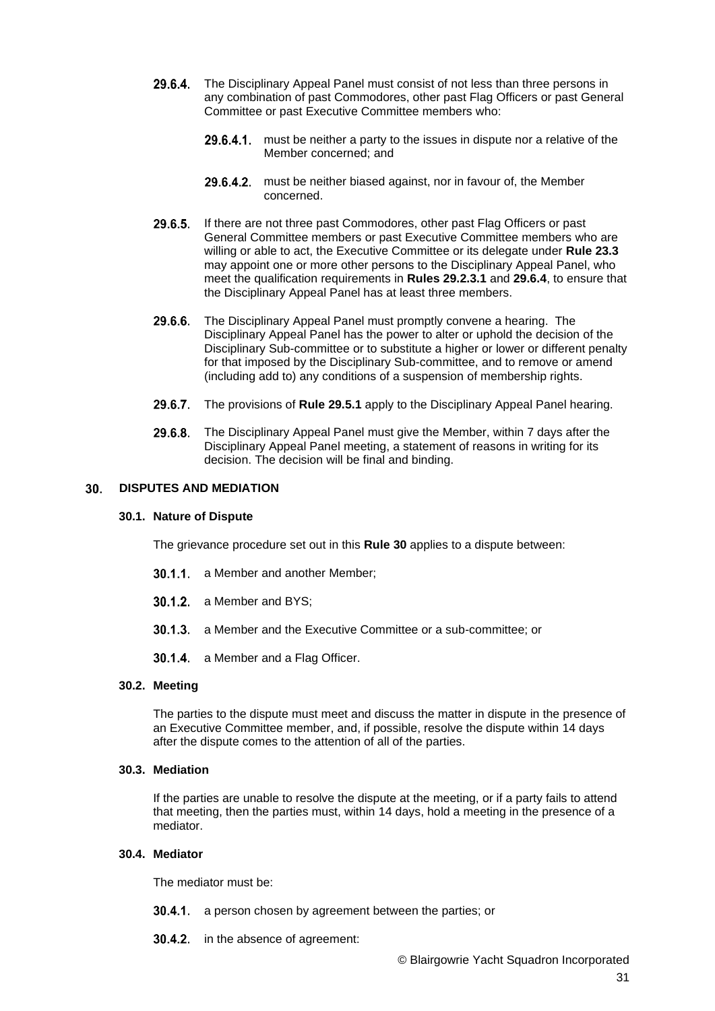- 29.6.4. The Disciplinary Appeal Panel must consist of not less than three persons in any combination of past Commodores, other past Flag Officers or past General Committee or past Executive Committee members who:
	- 29.6.4.1. must be neither a party to the issues in dispute nor a relative of the Member concerned; and
	- 29.6.4.2. must be neither biased against, nor in favour of, the Member concerned.
- 29.6.5. If there are not three past Commodores, other past Flag Officers or past General Committee members or past Executive Committee members who are willing or able to act, the Executive Committee or its delegate under **Rule 23.3** may appoint one or more other persons to the Disciplinary Appeal Panel, who meet the qualification requirements in **Rules 29.2.3.1** and **29.6.4**, to ensure that the Disciplinary Appeal Panel has at least three members.
- 29.6.6. The Disciplinary Appeal Panel must promptly convene a hearing. The Disciplinary Appeal Panel has the power to alter or uphold the decision of the Disciplinary Sub-committee or to substitute a higher or lower or different penalty for that imposed by the Disciplinary Sub-committee, and to remove or amend (including add to) any conditions of a suspension of membership rights.
- 29.6.7. The provisions of **Rule 29.5.1** apply to the Disciplinary Appeal Panel hearing.
- 29.6.8. The Disciplinary Appeal Panel must give the Member, within 7 days after the Disciplinary Appeal Panel meeting, a statement of reasons in writing for its decision. The decision will be final and binding.

#### **DISPUTES AND MEDIATION** 30.

### **30.1. Nature of Dispute**

The grievance procedure set out in this **Rule 30** applies to a dispute between:

- 30.1.1. a Member and another Member:
- 30.1.2. a Member and BYS:
- **30.1.3.** a Member and the Executive Committee or a sub-committee; or
- 30.1.4. a Member and a Flag Officer.

### **30.2. Meeting**

The parties to the dispute must meet and discuss the matter in dispute in the presence of an Executive Committee member, and, if possible, resolve the dispute within 14 days after the dispute comes to the attention of all of the parties.

# **30.3. Mediation**

If the parties are unable to resolve the dispute at the meeting, or if a party fails to attend that meeting, then the parties must, within 14 days, hold a meeting in the presence of a mediator.

# **30.4. Mediator**

The mediator must be:

- **30.4.1.** a person chosen by agreement between the parties; or
- **30.4.2.** in the absence of agreement: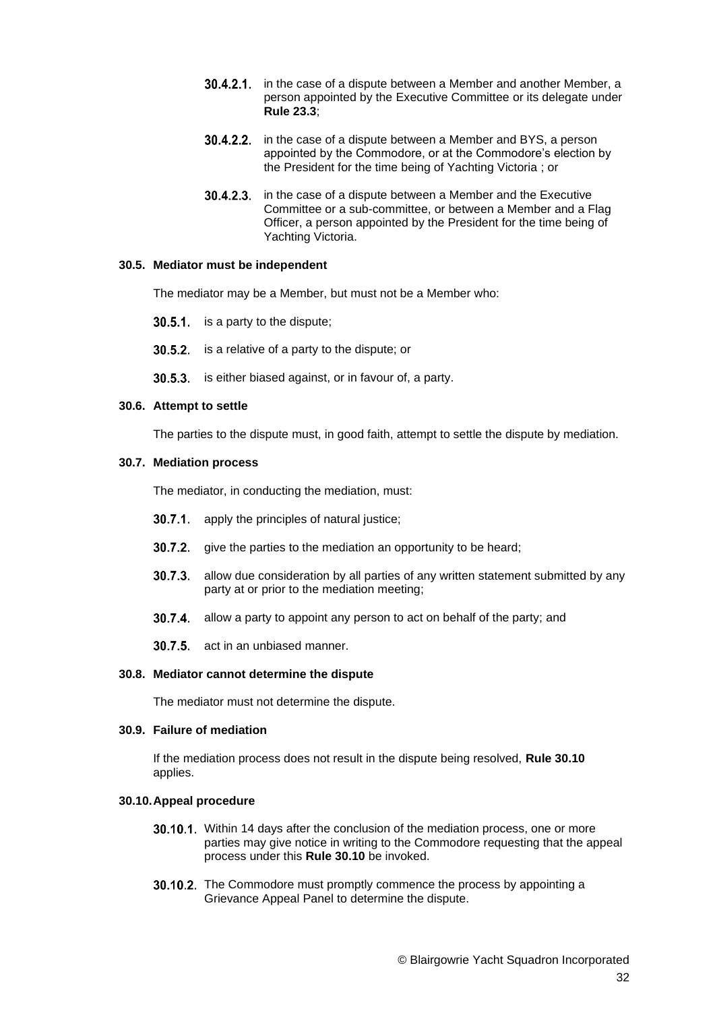- **30.4.2.1.** in the case of a dispute between a Member and another Member, a person appointed by the Executive Committee or its delegate under **Rule 23.3**;
- 30.4.2.2. in the case of a dispute between a Member and BYS, a person appointed by the Commodore, or at the Commodore's election by the President for the time being of Yachting Victoria ; or
- $30.4.2.3$ in the case of a dispute between a Member and the Executive Committee or a sub-committee, or between a Member and a Flag Officer, a person appointed by the President for the time being of Yachting Victoria.

#### **30.5. Mediator must be independent**

The mediator may be a Member, but must not be a Member who:

30.5.1. is a party to the dispute;

30.5.2. is a relative of a party to the dispute; or

30.5.3. is either biased against, or in favour of, a party.

#### **30.6. Attempt to settle**

The parties to the dispute must, in good faith, attempt to settle the dispute by mediation.

#### **30.7. Mediation process**

The mediator, in conducting the mediation, must:

- **30.7.1.** apply the principles of natural justice;
- **30.7.2.** give the parties to the mediation an opportunity to be heard:
- **30.7.3.** allow due consideration by all parties of any written statement submitted by any party at or prior to the mediation meeting;
- 30.7.4. allow a party to appoint any person to act on behalf of the party; and
- 30.7.5. act in an unbiased manner.

#### **30.8. Mediator cannot determine the dispute**

The mediator must not determine the dispute.

### **30.9. Failure of mediation**

If the mediation process does not result in the dispute being resolved, **Rule 30.10** applies.

#### **30.10.Appeal procedure**

- **30.10.1.** Within 14 days after the conclusion of the mediation process, one or more parties may give notice in writing to the Commodore requesting that the appeal process under this **Rule 30.10** be invoked.
- 30.10.2. The Commodore must promptly commence the process by appointing a Grievance Appeal Panel to determine the dispute.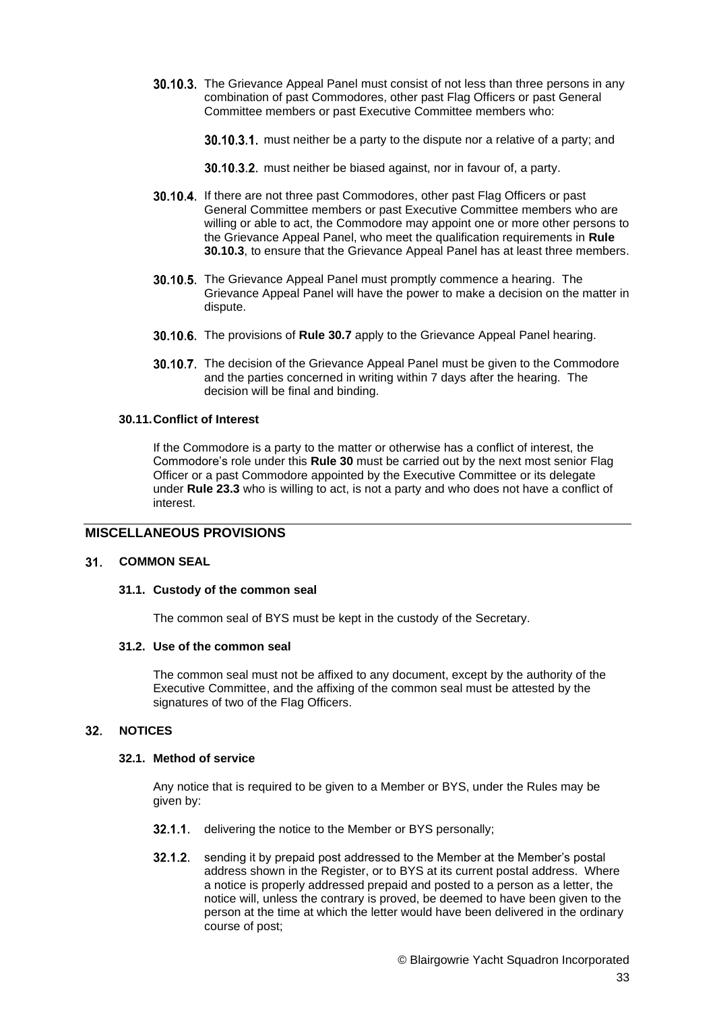**30.10.3.** The Grievance Appeal Panel must consist of not less than three persons in any combination of past Commodores, other past Flag Officers or past General Committee members or past Executive Committee members who:

30.10.3.1. must neither be a party to the dispute nor a relative of a party; and

30.10.3.2. must neither be biased against, nor in favour of, a party.

- **30.10.4.** If there are not three past Commodores, other past Flag Officers or past General Committee members or past Executive Committee members who are willing or able to act, the Commodore may appoint one or more other persons to the Grievance Appeal Panel, who meet the qualification requirements in **Rule 30.10.3**, to ensure that the Grievance Appeal Panel has at least three members.
- 30.10.5. The Grievance Appeal Panel must promptly commence a hearing. The Grievance Appeal Panel will have the power to make a decision on the matter in dispute.
- 30.10.6. The provisions of Rule 30.7 apply to the Grievance Appeal Panel hearing.
- **30.10.7.** The decision of the Grievance Appeal Panel must be given to the Commodore and the parties concerned in writing within 7 days after the hearing. The decision will be final and binding.

# **30.11.Conflict of Interest**

If the Commodore is a party to the matter or otherwise has a conflict of interest, the Commodore's role under this **Rule 30** must be carried out by the next most senior Flag Officer or a past Commodore appointed by the Executive Committee or its delegate under **Rule 23.3** who is willing to act, is not a party and who does not have a conflict of interest.

# **MISCELLANEOUS PROVISIONS**

#### $31.$ **COMMON SEAL**

### **31.1. Custody of the common seal**

The common seal of BYS must be kept in the custody of the Secretary.

### **31.2. Use of the common seal**

The common seal must not be affixed to any document, except by the authority of the Executive Committee, and the affixing of the common seal must be attested by the signatures of two of the Flag Officers.

#### $32.$ **NOTICES**

### **32.1. Method of service**

Any notice that is required to be given to a Member or BYS, under the Rules may be given by:

- 32.1.1. delivering the notice to the Member or BYS personally;
- <span id="page-32-0"></span>**32.1.2.** sending it by prepaid post addressed to the Member at the Member's postal address shown in the Register, or to BYS at its current postal address. Where a notice is properly addressed prepaid and posted to a person as a letter, the notice will, unless the contrary is proved, be deemed to have been given to the person at the time at which the letter would have been delivered in the ordinary course of post;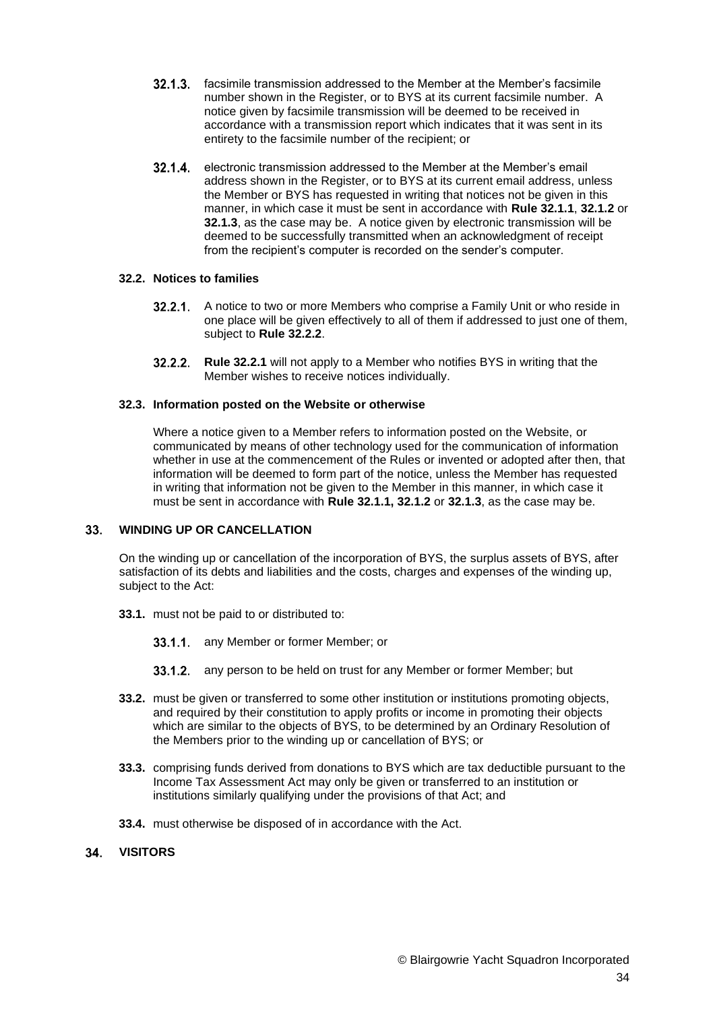- **32.1.3.** facsimile transmission addressed to the Member at the Member's facsimile number shown in the Register, or to BYS at its current facsimile number. A notice given by facsimile transmission will be deemed to be received in accordance with a transmission report which indicates that it was sent in its entirety to the facsimile number of the recipient; or
- 32.1.4. electronic transmission addressed to the Member at the Member's email address shown in the Register, or to BYS at its current email address, unless the Member or BYS has requested in writing that notices not be given in this manner, in which case it must be sent in accordance with **Rule 32.1.1**, **[32.1.2](#page-32-0)** or **32.1.3**, as the case may be. A notice given by electronic transmission will be deemed to be successfully transmitted when an acknowledgment of receipt from the recipient's computer is recorded on the sender's computer.

# <span id="page-33-1"></span>**32.2. Notices to families**

- **32.2.1.** A notice to two or more Members who comprise a Family Unit or who reside in one place will be given effectively to all of them if addressed to just one of them, subject to **Rule [32.2.2](#page-33-0)**.
- **Rule [32.2.1](#page-33-1)** will not apply to a Member who notifies BYS in writing that the Member wishes to receive notices individually.

# <span id="page-33-0"></span>**32.3. Information posted on the Website or otherwise**

Where a notice given to a Member refers to information posted on the Website, or communicated by means of other technology used for the communication of information whether in use at the commencement of the Rules or invented or adopted after then, that information will be deemed to form part of the notice, unless the Member has requested in writing that information not be given to the Member in this manner, in which case it must be sent in accordance with **Rule 32.1.1, 32.1.2** or **32.1.3**, as the case may be.

#### **WINDING UP OR CANCELLATION**  $33.$

On the winding up or cancellation of the incorporation of BYS, the surplus assets of BYS, after satisfaction of its debts and liabilities and the costs, charges and expenses of the winding up, subject to the Act:

- **33.1.** must not be paid to or distributed to:
	- 33.1.1. any Member or former Member; or
	- **33.1.2.** any person to be held on trust for any Member or former Member; but
- **33.2.** must be given or transferred to some other institution or institutions promoting objects, and required by their constitution to apply profits or income in promoting their objects which are similar to the objects of BYS, to be determined by an Ordinary Resolution of the Members prior to the winding up or cancellation of BYS; or
- **33.3.** comprising funds derived from donations to BYS which are tax deductible pursuant to the Income Tax Assessment Act may only be given or transferred to an institution or institutions similarly qualifying under the provisions of that Act; and
- **33.4.** must otherwise be disposed of in accordance with the Act.

#### $34.$ **VISITORS**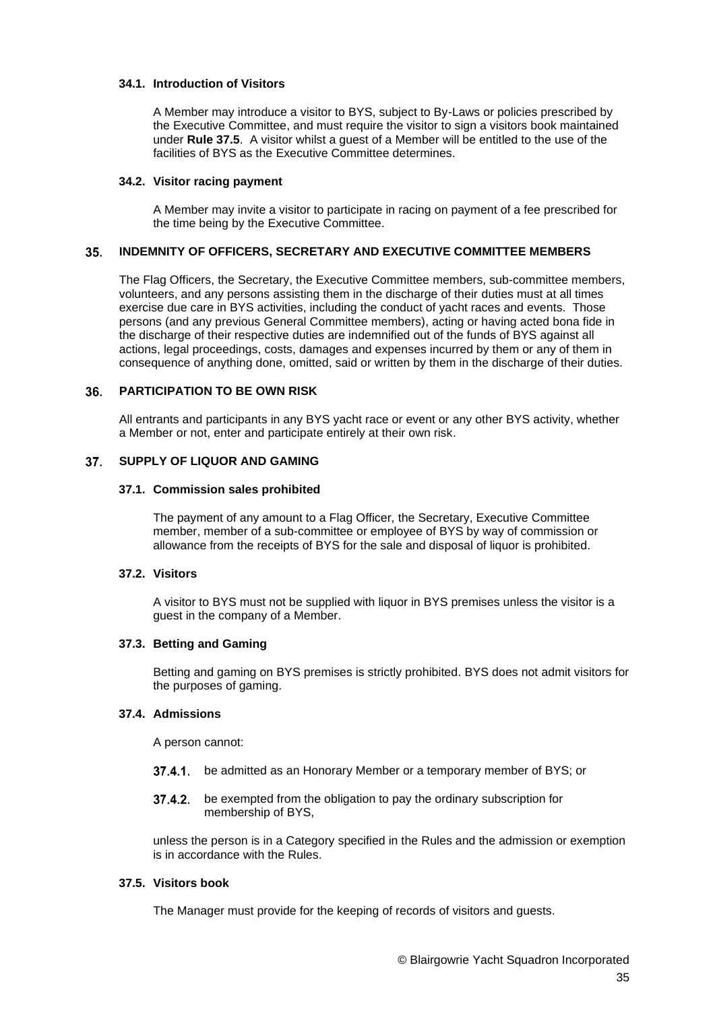## **34.1. Introduction of Visitors**

A Member may introduce a visitor to BYS, subject to By-Laws or policies prescribed by the Executive Committee, and must require the visitor to sign a visitors book maintained under **Rule 37.5**. A visitor whilst a guest of a Member will be entitled to the use of the facilities of BYS as the Executive Committee determines.

### **34.2. Visitor racing payment**

A Member may invite a visitor to participate in racing on payment of a fee prescribed for the time being by the Executive Committee.

#### $35.$ **INDEMNITY OF OFFICERS, SECRETARY AND EXECUTIVE COMMITTEE MEMBERS**

The Flag Officers, the Secretary, the Executive Committee members, sub-committee members, volunteers, and any persons assisting them in the discharge of their duties must at all times exercise due care in BYS activities, including the conduct of yacht races and events. Those persons (and any previous General Committee members), acting or having acted bona fide in the discharge of their respective duties are indemnified out of the funds of BYS against all actions, legal proceedings, costs, damages and expenses incurred by them or any of them in consequence of anything done, omitted, said or written by them in the discharge of their duties.

#### 36. **PARTICIPATION TO BE OWN RISK**

All entrants and participants in any BYS yacht race or event or any other BYS activity, whether a Member or not, enter and participate entirely at their own risk.

#### **SUPPLY OF LIQUOR AND GAMING**  $37<sub>1</sub>$

### **37.1. Commission sales prohibited**

The payment of any amount to a Flag Officer, the Secretary, Executive Committee member, member of a sub-committee or employee of BYS by way of commission or allowance from the receipts of BYS for the sale and disposal of liquor is prohibited.

# **37.2. Visitors**

A visitor to BYS must not be supplied with liquor in BYS premises unless the visitor is a guest in the company of a Member.

# **37.3. Betting and Gaming**

Betting and gaming on BYS premises is strictly prohibited. BYS does not admit visitors for the purposes of gaming.

# **37.4. Admissions**

A person cannot:

- 37.4.1. be admitted as an Honorary Member or a temporary member of BYS; or
- **37.4.2.** be exempted from the obligation to pay the ordinary subscription for membership of BYS,

unless the person is in a Category specified in the Rules and the admission or exemption is in accordance with the Rules.

# **37.5. Visitors book**

The Manager must provide for the keeping of records of visitors and guests.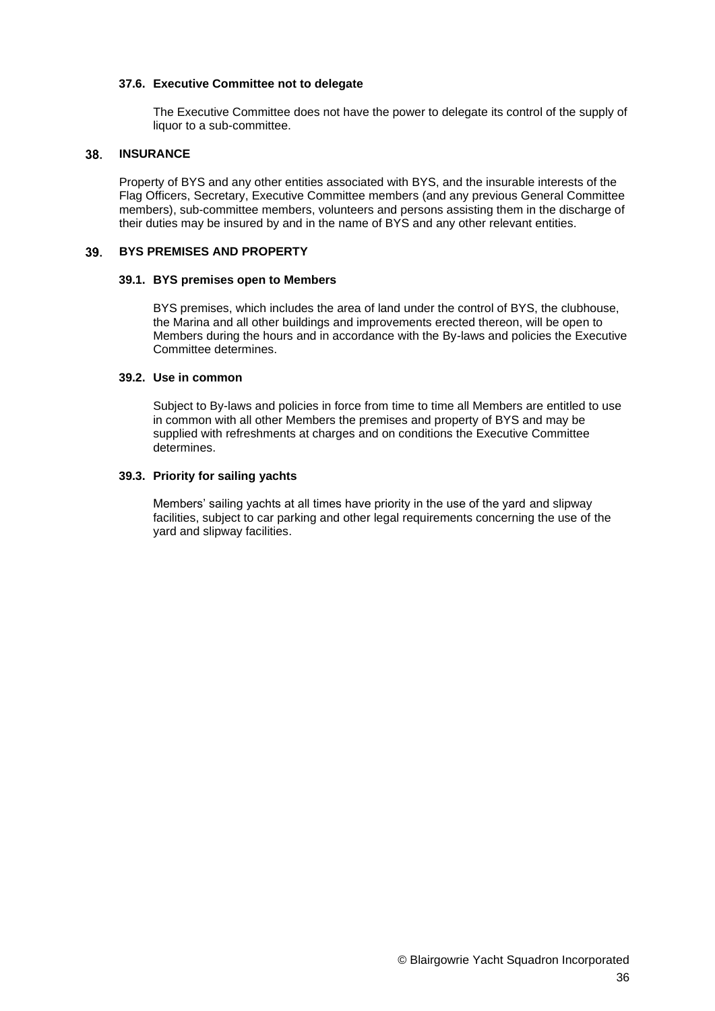### **37.6. Executive Committee not to delegate**

The Executive Committee does not have the power to delegate its control of the supply of liquor to a sub-committee.

#### 38. **INSURANCE**

Property of BYS and any other entities associated with BYS, and the insurable interests of the Flag Officers, Secretary, Executive Committee members (and any previous General Committee members), sub-committee members, volunteers and persons assisting them in the discharge of their duties may be insured by and in the name of BYS and any other relevant entities.

#### 39. **BYS PREMISES AND PROPERTY**

### **39.1. BYS premises open to Members**

BYS premises, which includes the area of land under the control of BYS, the clubhouse, the Marina and all other buildings and improvements erected thereon, will be open to Members during the hours and in accordance with the By-laws and policies the Executive Committee determines.

# **39.2. Use in common**

Subject to By-laws and policies in force from time to time all Members are entitled to use in common with all other Members the premises and property of BYS and may be supplied with refreshments at charges and on conditions the Executive Committee determines.

# **39.3. Priority for sailing yachts**

Members' sailing yachts at all times have priority in the use of the yard and slipway facilities, subject to car parking and other legal requirements concerning the use of the yard and slipway facilities.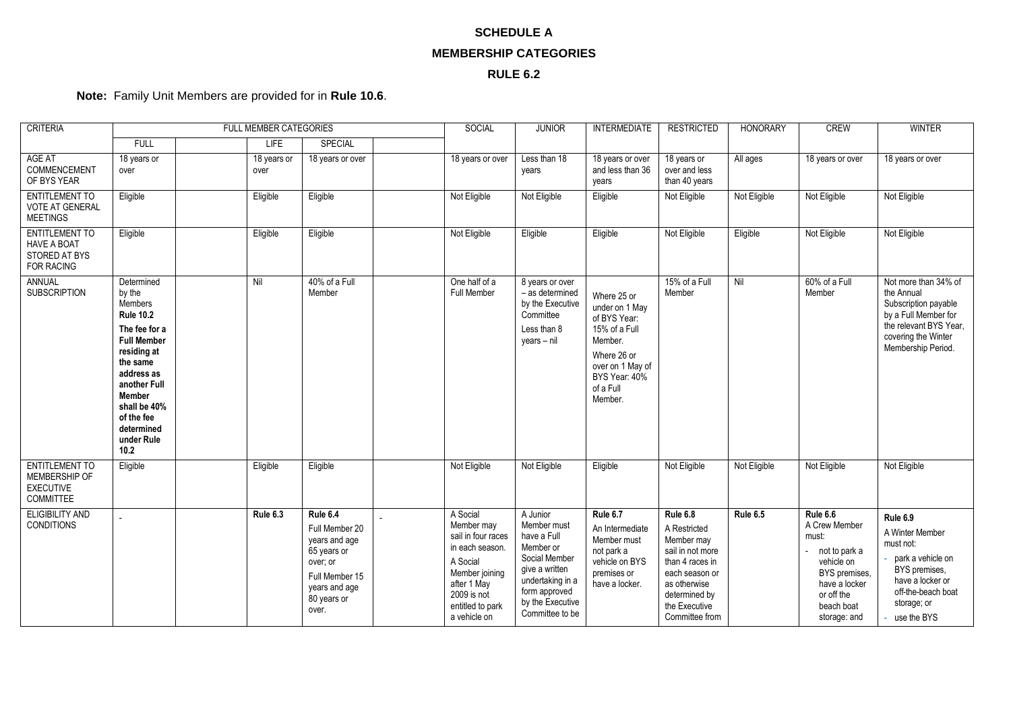# **SCHEDULE A MEMBERSHIP CATEGORIES**

# **RULE 6.2**

# **Note:** Family Unit Members are provided for in **Rule [10.6](#page-10-3)**.

| <b>CRITERIA</b>                                                                   | FULL MEMBER CATEGORIES                                                                                                                                                                                                                        |     |                     | SOCIAL<br><b>JUNIOR</b>                                                                                                           |                                                                                                                                                                 | <b>INTERMEDIATE</b>                                                                                                                                                | <b>RESTRICTED</b>                                                                                                                                     | <b>HONORARY</b>                                                                                                                                                     | <b>CREW</b>  | <b>WINTER</b>                                                                                                                                   |                                                                                                                                                           |
|-----------------------------------------------------------------------------------|-----------------------------------------------------------------------------------------------------------------------------------------------------------------------------------------------------------------------------------------------|-----|---------------------|-----------------------------------------------------------------------------------------------------------------------------------|-----------------------------------------------------------------------------------------------------------------------------------------------------------------|--------------------------------------------------------------------------------------------------------------------------------------------------------------------|-------------------------------------------------------------------------------------------------------------------------------------------------------|---------------------------------------------------------------------------------------------------------------------------------------------------------------------|--------------|-------------------------------------------------------------------------------------------------------------------------------------------------|-----------------------------------------------------------------------------------------------------------------------------------------------------------|
|                                                                                   | <b>FULL</b>                                                                                                                                                                                                                                   |     | <b>LIFE</b>         | SPECIAL                                                                                                                           |                                                                                                                                                                 |                                                                                                                                                                    |                                                                                                                                                       |                                                                                                                                                                     |              |                                                                                                                                                 |                                                                                                                                                           |
| AGE AT<br>COMMENCEMENT<br>OF BYS YEAR                                             | 18 years or<br>over                                                                                                                                                                                                                           |     | 18 years or<br>over | 18 years or over                                                                                                                  | 18 years or over                                                                                                                                                | Less than 18<br>years                                                                                                                                              | 18 years or over<br>and less than 36<br>years                                                                                                         | 18 years or<br>over and less<br>than 40 years                                                                                                                       | All ages     | 18 years or over                                                                                                                                | 18 years or over                                                                                                                                          |
| <b>ENTITLEMENT TO</b><br><b>VOTE AT GENERAL</b><br><b>MEETINGS</b>                | Eligible                                                                                                                                                                                                                                      |     | Eligible            | Eligible                                                                                                                          | Not Eligible                                                                                                                                                    | Not Eligible                                                                                                                                                       | Eligible                                                                                                                                              | Not Eligible                                                                                                                                                        | Not Eligible | Not Eligible                                                                                                                                    | Not Eligible                                                                                                                                              |
| <b>ENTITLEMENT TO</b><br><b>HAVE A BOAT</b><br>STORED AT BYS<br><b>FOR RACING</b> | Eligible                                                                                                                                                                                                                                      |     | Eligible            | Eligible                                                                                                                          | Not Eligible                                                                                                                                                    | Eligible                                                                                                                                                           | Eligible                                                                                                                                              | Not Eligible                                                                                                                                                        | Eligible     | Not Eligible                                                                                                                                    | Not Eligible                                                                                                                                              |
| <b>ANNUAL</b><br><b>SUBSCRIPTION</b>                                              | Determined<br>by the<br><b>Members</b><br><b>Rule 10.2</b><br>The fee for a<br><b>Full Member</b><br>residing at<br>the same<br>address as<br>another Full<br><b>Member</b><br>shall be 40%<br>of the fee<br>determined<br>under Rule<br>10.2 | Nil |                     | 40% of a Full<br>Member                                                                                                           | One half of a<br>Full Member                                                                                                                                    | 8 years or over<br>- as determined<br>by the Executive<br>Committee<br>Less than 8<br>$years - nil$                                                                | Where 25 or<br>under on 1 May<br>of BYS Year:<br>15% of a Full<br>Member.<br>Where 26 or<br>over on 1 May of<br>BYS Year: 40%<br>of a Full<br>Member. | 15% of a Full<br>Member                                                                                                                                             | Nil          | 60% of a Full<br>Member                                                                                                                         | Not more than 34% of<br>the Annual<br>Subscription payable<br>by a Full Member for<br>the relevant BYS Year,<br>covering the Winter<br>Membership Period. |
| <b>ENTITLEMENT TO</b><br>MEMBERSHIP OF<br><b>EXECUTIVE</b><br>COMMITTEE           | Eligible                                                                                                                                                                                                                                      |     | Eligible            | Eligible                                                                                                                          | Not Eligible                                                                                                                                                    | Not Eligible                                                                                                                                                       | Eligible                                                                                                                                              | Not Eligible                                                                                                                                                        | Not Eligible | Not Eligible                                                                                                                                    | Not Eligible                                                                                                                                              |
| <b>ELIGIBILITY AND</b><br><b>CONDITIONS</b>                                       |                                                                                                                                                                                                                                               |     | Rule 6.3            | Rule 6.4<br>Full Member 20<br>years and age<br>65 years or<br>over; or<br>Full Member 15<br>years and age<br>80 years or<br>over. | A Social<br>Member may<br>sail in four races<br>in each season.<br>A Social<br>Member joining<br>after 1 May<br>2009 is not<br>entitled to park<br>a vehicle on | A Junior<br>Member must<br>have a Full<br>Member or<br>Social Member<br>give a written<br>undertaking in a<br>form approved<br>by the Executive<br>Committee to be | Rule 6.7<br>An Intermediate<br>Member must<br>not park a<br>vehicle on BYS<br>premises or<br>have a locker.                                           | Rule 6.8<br>A Restricted<br>Member may<br>sail in not more<br>than 4 races in<br>each season or<br>as otherwise<br>determined by<br>the Executive<br>Committee from | Rule 6.5     | Rule 6.6<br>A Crew Member<br>must:<br>not to park a<br>vehicle on<br>BYS premises.<br>have a locker<br>or off the<br>beach boat<br>storage: and | Rule 6.9<br>A Winter Member<br>must not:<br>park a vehicle on<br>BYS premises.<br>have a locker or<br>off-the-beach boat<br>storage; or<br>use the BYS    |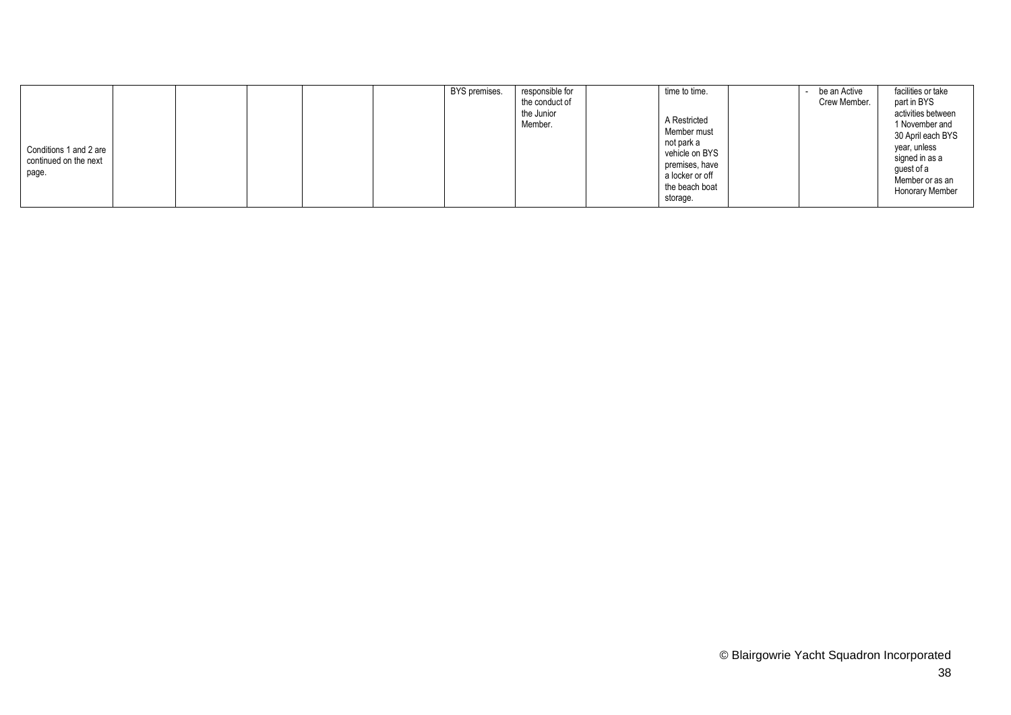|                                                          |  |  | BYS premises. | responsible for<br>the conduct of | time to time.                                                                                                                  | be an Active<br>Crew Member. | facilities or take<br>part in BYS                                                                                                                      |
|----------------------------------------------------------|--|--|---------------|-----------------------------------|--------------------------------------------------------------------------------------------------------------------------------|------------------------------|--------------------------------------------------------------------------------------------------------------------------------------------------------|
| Conditions 1 and 2 are<br>continued on the next<br>page. |  |  |               | the Junior<br>Member.             | A Restricted<br>Member must<br>not park a<br>vehicle on BYS<br>premises, have<br>a locker or off<br>the beach boat<br>storage. |                              | activities between<br>1 November and<br>30 April each BYS<br>vear, unless<br>signed in as a<br>quest of a<br>Member or as an<br><b>Honorary Member</b> |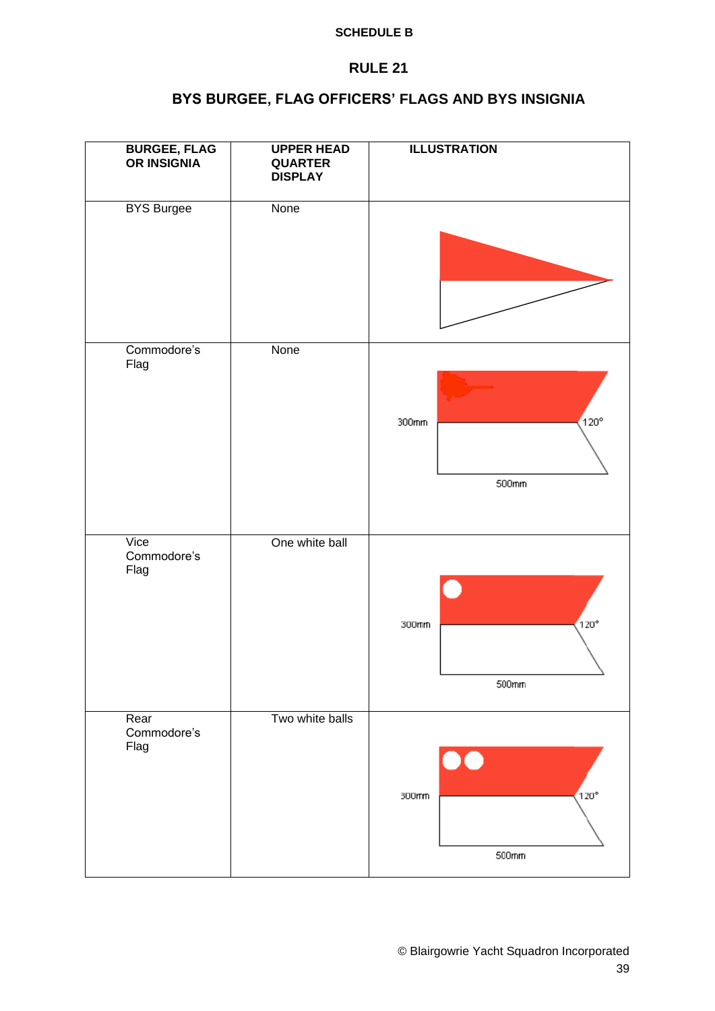# **SCHEDULE B**

# **RULE 21**

# **BYS BURGEE, FLAG OFFICERS' FLAGS AND BYS INSIGNIA**

| <b>BURGEE, FLAG</b><br>OR INSIGNIA | <b>UPPER HEAD</b><br><b>QUARTER</b><br><b>DISPLAY</b> | <b>ILLUSTRATION</b>                 |  |  |  |
|------------------------------------|-------------------------------------------------------|-------------------------------------|--|--|--|
| <b>BYS Burgee</b>                  | None                                                  |                                     |  |  |  |
| Commodore's<br>Flag                | None                                                  | $120^\circ$<br>300mm<br>500mm       |  |  |  |
| Vice<br>Commodore's<br>Flag        | One white ball                                        | C)<br>$120^\circ$<br>300mm<br>500mm |  |  |  |
| Rear<br>Commodore's<br>Flag        | Two white balls                                       | $120^\circ$<br>300mm<br>500mm       |  |  |  |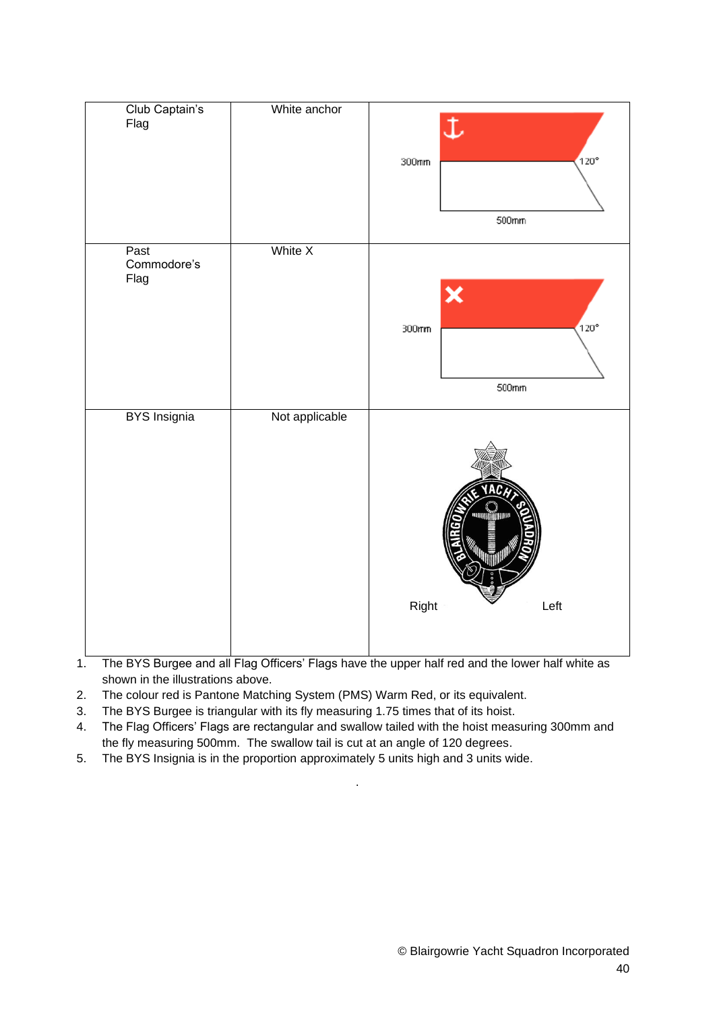| Club Captain's<br>Flag      | White anchor   | $\ddot{\downarrow}$<br>$120^{\circ}$<br>300mm<br>500mm |
|-----------------------------|----------------|--------------------------------------------------------|
| Past<br>Commodore's<br>Flag | White X        | ×<br>120°<br>300mm<br>500mm                            |
| <b>BYS</b> Insignia         | Not applicable | <b>HARRITARINAL PRO</b><br>Right<br>Left               |

- 1. The BYS Burgee and all Flag Officers' Flags have the upper half red and the lower half white as shown in the illustrations above.
- 2. The colour red is Pantone Matching System (PMS) Warm Red, or its equivalent.
- 3. The BYS Burgee is triangular with its fly measuring 1.75 times that of its hoist.
- 4. The Flag Officers' Flags are rectangular and swallow tailed with the hoist measuring 300mm and the fly measuring 500mm. The swallow tail is cut at an angle of 120 degrees.

.

5. The BYS Insignia is in the proportion approximately 5 units high and 3 units wide.